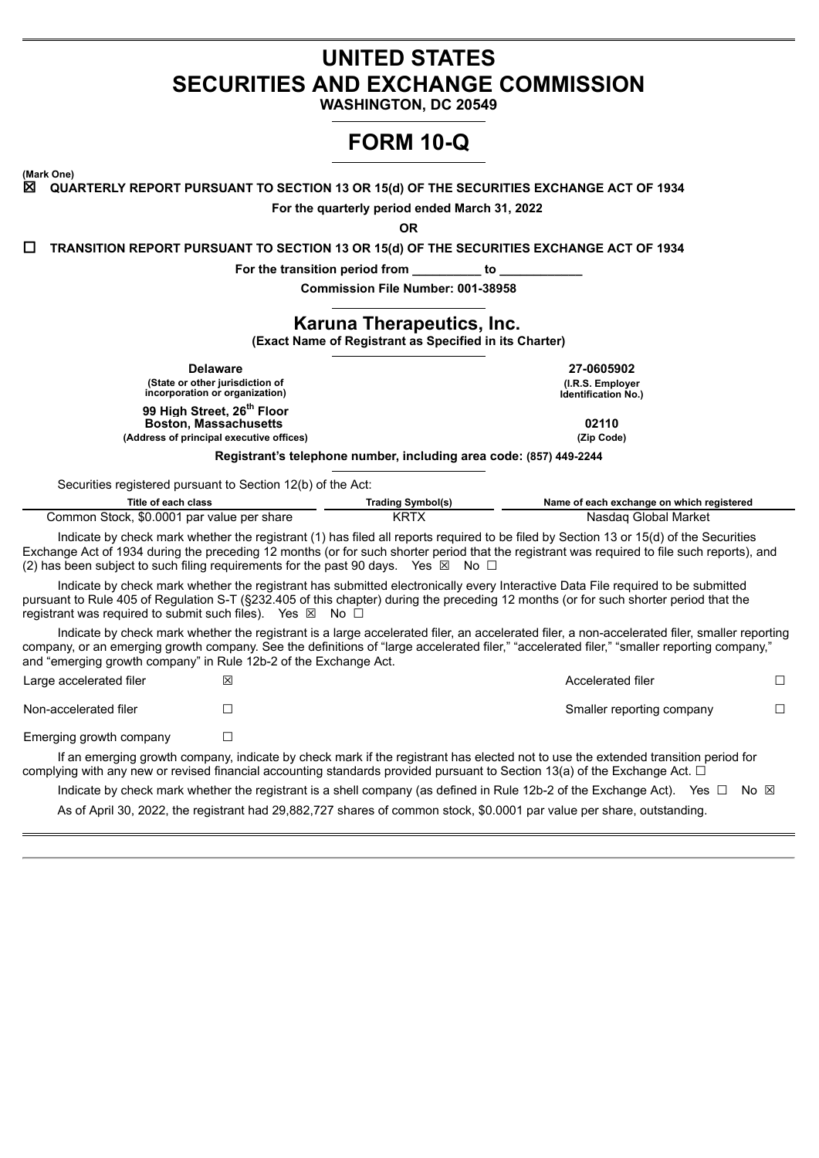## **UNITED STATES SECURITIES AND EXCHANGE COMMISSION**

**WASHINGTON, DC 20549**

# **FORM 10-Q**

**(Mark One)**

☒ **QUARTERLY REPORT PURSUANT TO SECTION 13 OR 15(d) OF THE SECURITIES EXCHANGE ACT OF 1934**

**For the quarterly period ended March 31, 2022**

**OR**

☐ **TRANSITION REPORT PURSUANT TO SECTION 13 OR 15(d) OF THE SECURITIES EXCHANGE ACT OF 1934**

**For the transition period from \_\_\_\_\_\_\_\_\_\_ to \_\_\_\_\_\_\_\_\_\_\_\_**

**Commission File Number: 001-38958**

## **Karuna Therapeutics, Inc.**

**(Exact Name of Registrant as Specified in its Charter)**

| <b>Delaware</b><br>(State or other jurisdiction of<br>incorporation or organization)                               | 27-0605902<br>(I.R.S. Employer<br><b>Identification No.)</b> |
|--------------------------------------------------------------------------------------------------------------------|--------------------------------------------------------------|
| 99 High Street, 26 <sup>th</sup> Floor<br><b>Boston, Massachusetts</b><br>(Address of principal executive offices) | 02110<br>(Zip Code)                                          |
| Registrant's telephone number, including area code: (857) 449-2244                                                 |                                                              |

Securities registered pursuant to Section 12(b) of the Act:

| Title of each class                        | Trading Symbol(s) | Name of each exchange on which registered |  |  |  |  |  |
|--------------------------------------------|-------------------|-------------------------------------------|--|--|--|--|--|
| Common Stock, \$0.0001 par value per share | KRTX              | Nasdag Global Market                      |  |  |  |  |  |

Indicate by check mark whether the registrant (1) has filed all reports required to be filed by Section 13 or 15(d) of the Securities Exchange Act of 1934 during the preceding 12 months (or for such shorter period that the registrant was required to file such reports), and (2) has been subject to such filing requirements for the past 90 days. Yes  $\boxtimes$  No  $\Box$ 

Indicate by check mark whether the registrant has submitted electronically every Interactive Data File required to be submitted pursuant to Rule 405 of Regulation S-T (§232.405 of this chapter) during the preceding 12 months (or for such shorter period that the registrant was required to submit such files). Yes  $\boxtimes$  No  $\Box$ 

Indicate by check mark whether the registrant is a large accelerated filer, an accelerated filer, a non-accelerated filer, smaller reporting company, or an emerging growth company. See the definitions of "large accelerated filer," "accelerated filer," "smaller reporting company," and "emerging growth company" in Rule 12b-2 of the Exchange Act.

Large accelerated filer ☒ Accelerated filer ☐ Non-accelerated filer ☐ Smaller reporting company ☐ Emerging growth company  $\Box$ 

If an emerging growth company, indicate by check mark if the registrant has elected not to use the extended transition period for complying with any new or revised financial accounting standards provided pursuant to Section 13(a) of the Exchange Act.  $\Box$ 

Indicate by check mark whether the registrant is a shell company (as defined in Rule 12b-2 of the Exchange Act). Yes  $\Box$  No  $\boxtimes$ As of April 30, 2022, the registrant had 29,882,727 shares of common stock, \$0.0001 par value per share, outstanding.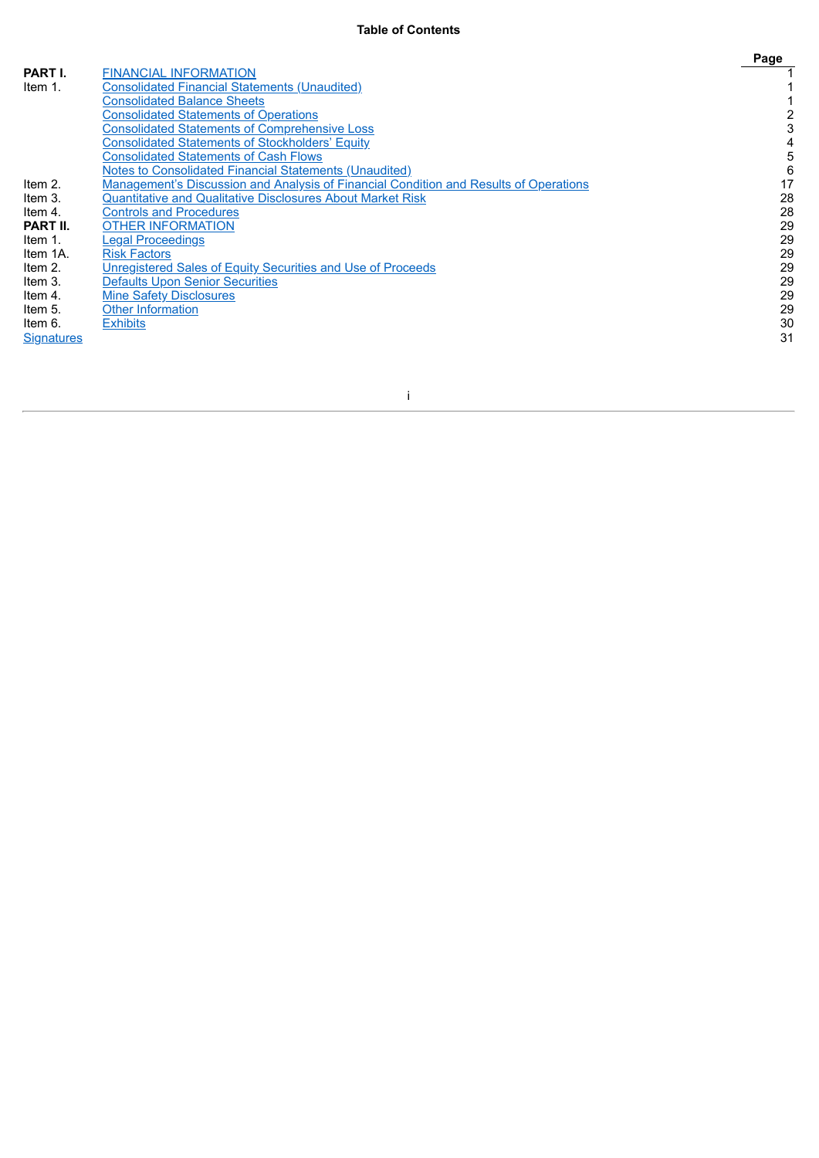|                   |                                                                                       | Page |
|-------------------|---------------------------------------------------------------------------------------|------|
| PART I.           | <b>FINANCIAL INFORMATION</b>                                                          |      |
| Item 1.           | <b>Consolidated Financial Statements (Unaudited)</b>                                  |      |
|                   | <b>Consolidated Balance Sheets</b>                                                    |      |
|                   | <b>Consolidated Statements of Operations</b>                                          |      |
|                   | <b>Consolidated Statements of Comprehensive Loss</b>                                  |      |
|                   | <b>Consolidated Statements of Stockholders' Equity</b>                                |      |
|                   | <b>Consolidated Statements of Cash Flows</b>                                          | 5    |
|                   | <b>Notes to Consolidated Financial Statements (Unaudited)</b>                         | 6    |
| Item 2.           | Management's Discussion and Analysis of Financial Condition and Results of Operations | 17   |
| Item 3.           | <b>Quantitative and Qualitative Disclosures About Market Risk</b>                     | 28   |
| Item 4.           | <b>Controls and Procedures</b>                                                        | 28   |
| PART II.          | <b>OTHER INFORMATION</b>                                                              | 29   |
| Item 1.           | <b>Legal Proceedings</b>                                                              | 29   |
| Item 1A.          | <b>Risk Factors</b>                                                                   | 29   |
| Item 2.           | Unregistered Sales of Equity Securities and Use of Proceeds                           | 29   |
| Item 3.           | <b>Defaults Upon Senior Securities</b>                                                | 29   |
| Item 4.           | <b>Mine Safety Disclosures</b>                                                        | 29   |
| Item 5.           | Other Information                                                                     | 29   |
| Item 6.           | <b>Exhibits</b>                                                                       | 30   |
| <b>Signatures</b> |                                                                                       | 31   |

i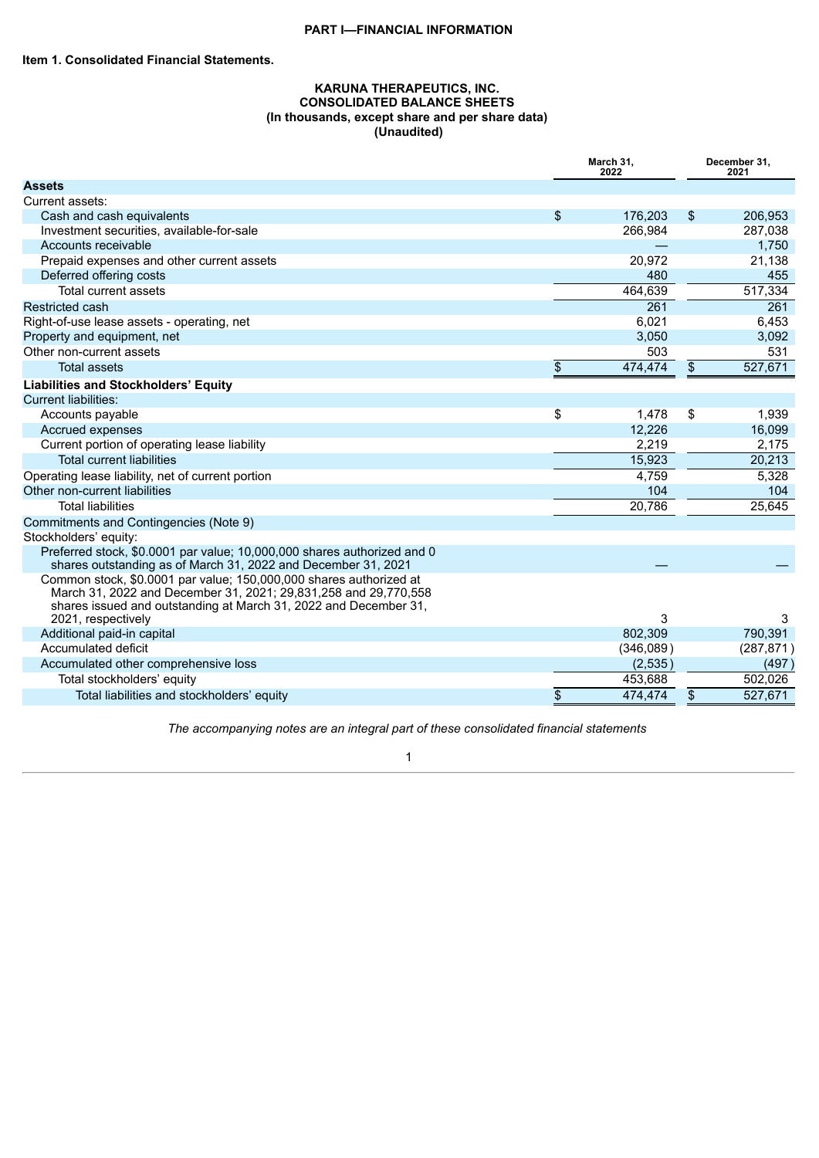## **PART I—FINANCIAL INFORMATION**

## **KARUNA THERAPEUTICS, INC. CONSOLIDATED BALANCE SHEETS (In thousands, except share and per share data) (Unaudited)**

<span id="page-2-2"></span><span id="page-2-1"></span><span id="page-2-0"></span>

|                                                                                                                                                                                                           |    | March 31,<br>2022    | December 31,<br>2021 |                       |  |
|-----------------------------------------------------------------------------------------------------------------------------------------------------------------------------------------------------------|----|----------------------|----------------------|-----------------------|--|
| <b>Assets</b>                                                                                                                                                                                             |    |                      |                      |                       |  |
| Current assets:                                                                                                                                                                                           |    |                      |                      |                       |  |
| Cash and cash equivalents                                                                                                                                                                                 | \$ | 176,203              | \$                   | 206,953               |  |
| Investment securities, available-for-sale                                                                                                                                                                 |    | 266,984              |                      | 287,038               |  |
| Accounts receivable                                                                                                                                                                                       |    |                      |                      | 1,750                 |  |
| Prepaid expenses and other current assets                                                                                                                                                                 |    | 20,972               |                      | 21,138                |  |
| Deferred offering costs                                                                                                                                                                                   |    | 480                  |                      | 455                   |  |
| <b>Total current assets</b>                                                                                                                                                                               |    | 464,639              |                      | 517,334               |  |
| <b>Restricted cash</b>                                                                                                                                                                                    |    | 261                  |                      | 261                   |  |
| Right-of-use lease assets - operating, net                                                                                                                                                                |    | 6,021                |                      | 6,453                 |  |
| Property and equipment, net                                                                                                                                                                               |    | 3,050                |                      | 3,092                 |  |
| Other non-current assets                                                                                                                                                                                  |    | 503                  |                      | 531                   |  |
| <b>Total assets</b>                                                                                                                                                                                       | \$ | 474,474              | \$                   | 527,671               |  |
| <b>Liabilities and Stockholders' Equity</b>                                                                                                                                                               |    |                      |                      |                       |  |
| <b>Current liabilities:</b>                                                                                                                                                                               |    |                      |                      |                       |  |
| Accounts payable                                                                                                                                                                                          | \$ | 1,478                | \$                   | 1,939                 |  |
| Accrued expenses                                                                                                                                                                                          |    | 12,226               |                      | 16,099                |  |
| Current portion of operating lease liability                                                                                                                                                              |    | 2,219                |                      | 2,175                 |  |
| <b>Total current liabilities</b>                                                                                                                                                                          |    | 15,923               |                      | 20,213                |  |
| Operating lease liability, net of current portion                                                                                                                                                         |    | 4,759                |                      | 5,328                 |  |
| Other non-current liabilities                                                                                                                                                                             |    | 104                  |                      | 104                   |  |
| <b>Total liabilities</b>                                                                                                                                                                                  |    | 20,786               |                      | 25,645                |  |
| Commitments and Contingencies (Note 9)                                                                                                                                                                    |    |                      |                      |                       |  |
| Stockholders' equity:                                                                                                                                                                                     |    |                      |                      |                       |  |
| Preferred stock, \$0.0001 par value; 10,000,000 shares authorized and 0<br>shares outstanding as of March 31, 2022 and December 31, 2021                                                                  |    |                      |                      |                       |  |
| Common stock, \$0.0001 par value; 150,000,000 shares authorized at<br>March 31, 2022 and December 31, 2021; 29,831,258 and 29,770,558<br>shares issued and outstanding at March 31, 2022 and December 31, |    | 3                    |                      |                       |  |
| 2021, respectively                                                                                                                                                                                        |    |                      |                      | 3                     |  |
| Additional paid-in capital<br>Accumulated deficit                                                                                                                                                         |    | 802,309              |                      | 790,391<br>(287, 871) |  |
| Accumulated other comprehensive loss                                                                                                                                                                      |    | (346,089)<br>(2,535) |                      | (497)                 |  |
|                                                                                                                                                                                                           |    |                      |                      |                       |  |
| Total stockholders' equity                                                                                                                                                                                |    | 453,688              |                      | 502,026               |  |
| Total liabilities and stockholders' equity                                                                                                                                                                | \$ | 474.474              | \$                   | 527.671               |  |

*The accompanying notes are an integral part of these consolidated financial statements*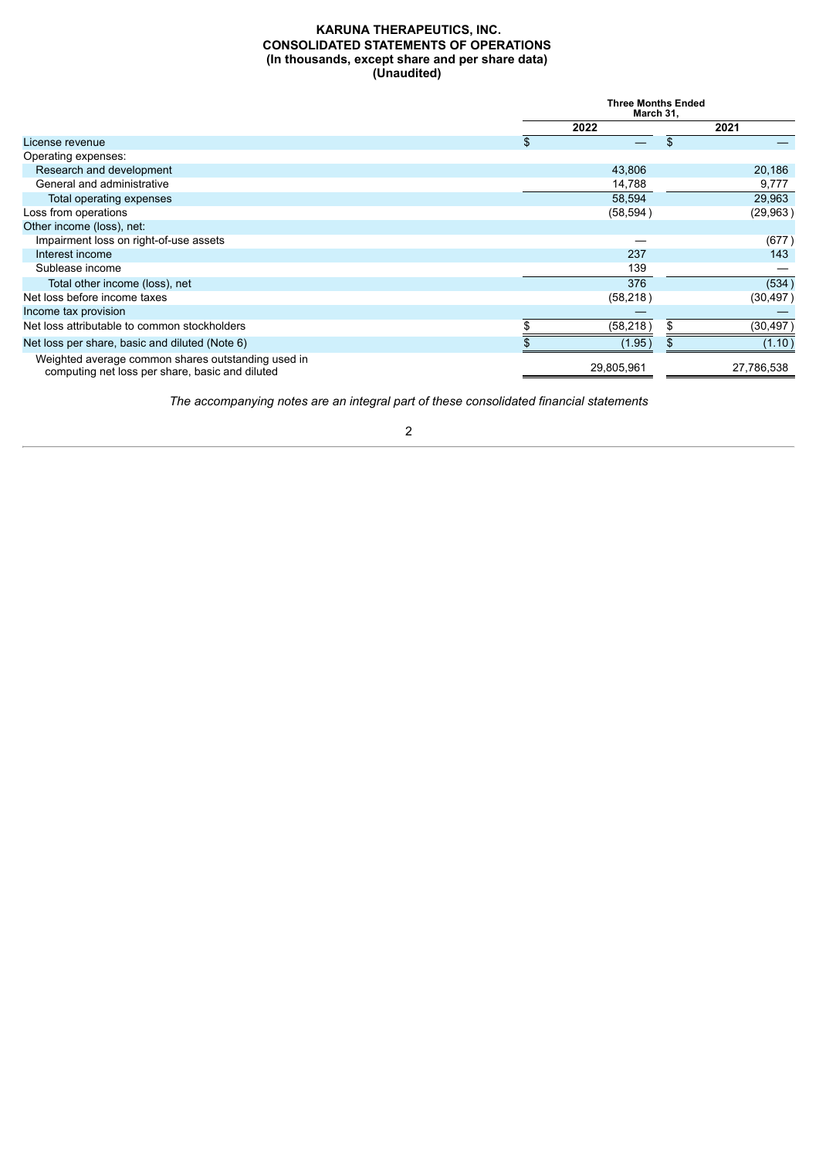## **KARUNA THERAPEUTICS, INC. CONSOLIDATED STATEMENTS OF OPERATIONS (In thousands, except share and per share data) (Unaudited)**

<span id="page-3-0"></span>

|                                                                                                       | <b>Three Months Ended</b><br>March 31, |    |            |
|-------------------------------------------------------------------------------------------------------|----------------------------------------|----|------------|
|                                                                                                       | 2022                                   |    | 2021       |
| License revenue                                                                                       | \$                                     | \$ |            |
| Operating expenses:                                                                                   |                                        |    |            |
| Research and development                                                                              | 43,806                                 |    | 20,186     |
| General and administrative                                                                            | 14,788                                 |    | 9,777      |
| Total operating expenses                                                                              | 58,594                                 |    | 29,963     |
| Loss from operations                                                                                  | (58, 594)                              |    | (29, 963)  |
| Other income (loss), net:                                                                             |                                        |    |            |
| Impairment loss on right-of-use assets                                                                |                                        |    | (677)      |
| Interest income                                                                                       | 237                                    |    | 143        |
| Sublease income                                                                                       | 139                                    |    |            |
| Total other income (loss), net                                                                        | 376                                    |    | (534)      |
| Net loss before income taxes                                                                          | (58, 218)                              |    | (30, 497)  |
| Income tax provision                                                                                  |                                        |    |            |
| Net loss attributable to common stockholders                                                          | (58, 218)                              |    | (30, 497)  |
| Net loss per share, basic and diluted (Note 6)                                                        | (1.95)                                 |    | (1.10)     |
| Weighted average common shares outstanding used in<br>computing net loss per share, basic and diluted | 29,805,961                             |    | 27,786,538 |

*The accompanying notes are an integral part of these consolidated financial statements*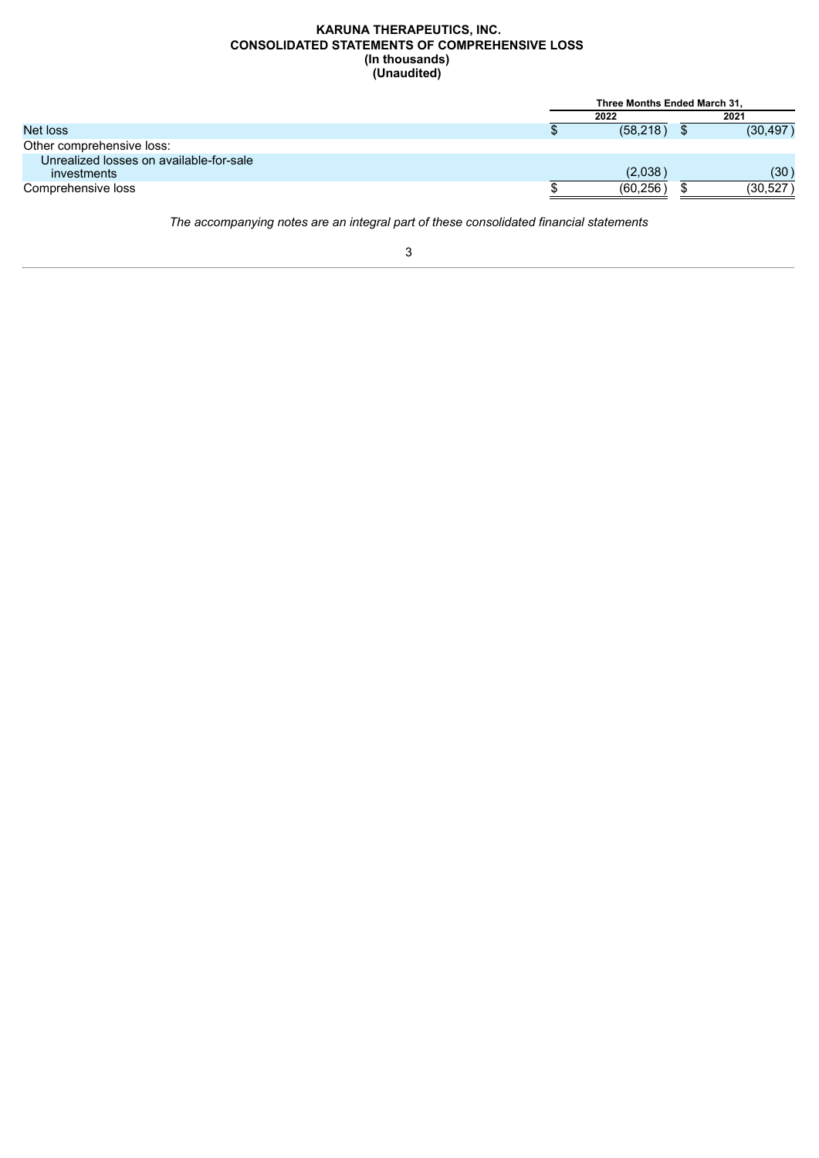#### **KARUNA THERAPEUTICS, INC. CONSOLIDATED STATEMENTS OF COMPREHENSIVE LOSS (In thousands) (Unaudited)**

<span id="page-4-0"></span>

|                                         | Three Months Ended March 31, |  |           |  |
|-----------------------------------------|------------------------------|--|-----------|--|
|                                         | 2022                         |  | 2021      |  |
| Net loss                                | (58, 218)                    |  | (30, 497) |  |
| Other comprehensive loss:               |                              |  |           |  |
| Unrealized losses on available-for-sale |                              |  |           |  |
| investments                             | (2,038)                      |  | (30)      |  |
| Comprehensive loss                      | (60, 256)                    |  | (30, 527) |  |

*The accompanying notes are an integral part of these consolidated financial statements*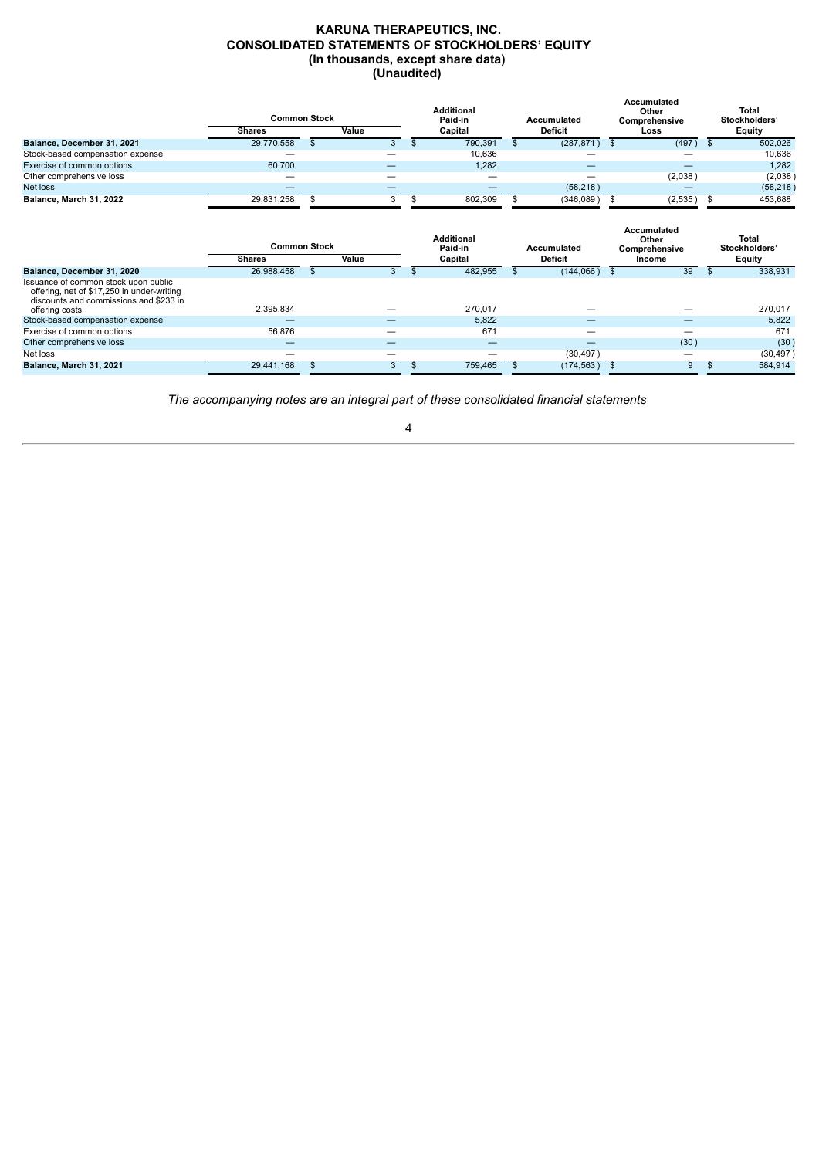#### **KARUNA THERAPEUTICS, INC. CONSOLIDATED STATEMENTS OF STOCKHOLDERS' EQUITY (In thousands, except share data) (Unaudited)**

<span id="page-5-0"></span>

|                                  | <b>Common Stock</b> |       | <b>Additional</b><br>Paid-in | Accumulated    | Accumulated<br>Other<br>Comprehensive | Total<br>Stockholders' |
|----------------------------------|---------------------|-------|------------------------------|----------------|---------------------------------------|------------------------|
|                                  | <b>Shares</b>       | Value | Capital                      | <b>Deficit</b> | Loss                                  | Equity                 |
| Balance, December 31, 2021       | 29,770,558          |       | 790,391                      | (287, 871)     | (497)                                 | 502,026                |
| Stock-based compensation expense |                     | –     | 10,636                       |                |                                       | 10,636                 |
| Exercise of common options       | 60,700              | –     | 1,282                        |                |                                       | 1,282                  |
| Other comprehensive loss         |                     |       |                              |                | (2,038)                               | (2,038)                |
| Net loss                         |                     | –     |                              | (58, 218)      | —                                     | (58, 218)              |
| Balance, March 31, 2022          | 29.831.258          |       | 802.309                      | (346,089)      | (2,535)                               | 453,688                |
|                                  |                     |       |                              |                | Accumulated                           |                        |
|                                  |                     |       |                              |                |                                       |                        |

|                                                                                                                              | <b>Common Stock</b> |       | <b>Additional</b><br>Paid-in | Accumulated    | Accumulated<br>Other<br>Comprehensive | <b>Total</b><br>Stockholders' |
|------------------------------------------------------------------------------------------------------------------------------|---------------------|-------|------------------------------|----------------|---------------------------------------|-------------------------------|
|                                                                                                                              | <b>Shares</b>       | Value | Capital                      | <b>Deficit</b> | Income                                | Equity                        |
| Balance, December 31, 2020                                                                                                   | 26,988,458          |       | 482,955                      | (144,066)      | 39                                    | 338,931                       |
| Issuance of common stock upon public<br>offering, net of \$17,250 in under-writing<br>discounts and commissions and \$233 in |                     |       |                              |                |                                       |                               |
| offering costs                                                                                                               | 2,395,834           |       | 270.017                      |                |                                       | 270.017                       |
| Stock-based compensation expense                                                                                             |                     |       | 5,822                        |                |                                       | 5,822                         |
| Exercise of common options                                                                                                   | 56.876              |       | 671                          |                |                                       | 671                           |
| Other comprehensive loss                                                                                                     |                     |       |                              |                | (30)                                  | (30)                          |
| Net loss                                                                                                                     |                     |       |                              | (30, 497)      | –                                     | (30, 497)                     |
| Balance, March 31, 2021                                                                                                      | 29.441.168          |       | 759.465                      | (174, 563)     | 9                                     | 584.914                       |

*The accompanying notes are an integral part of these consolidated financial statements*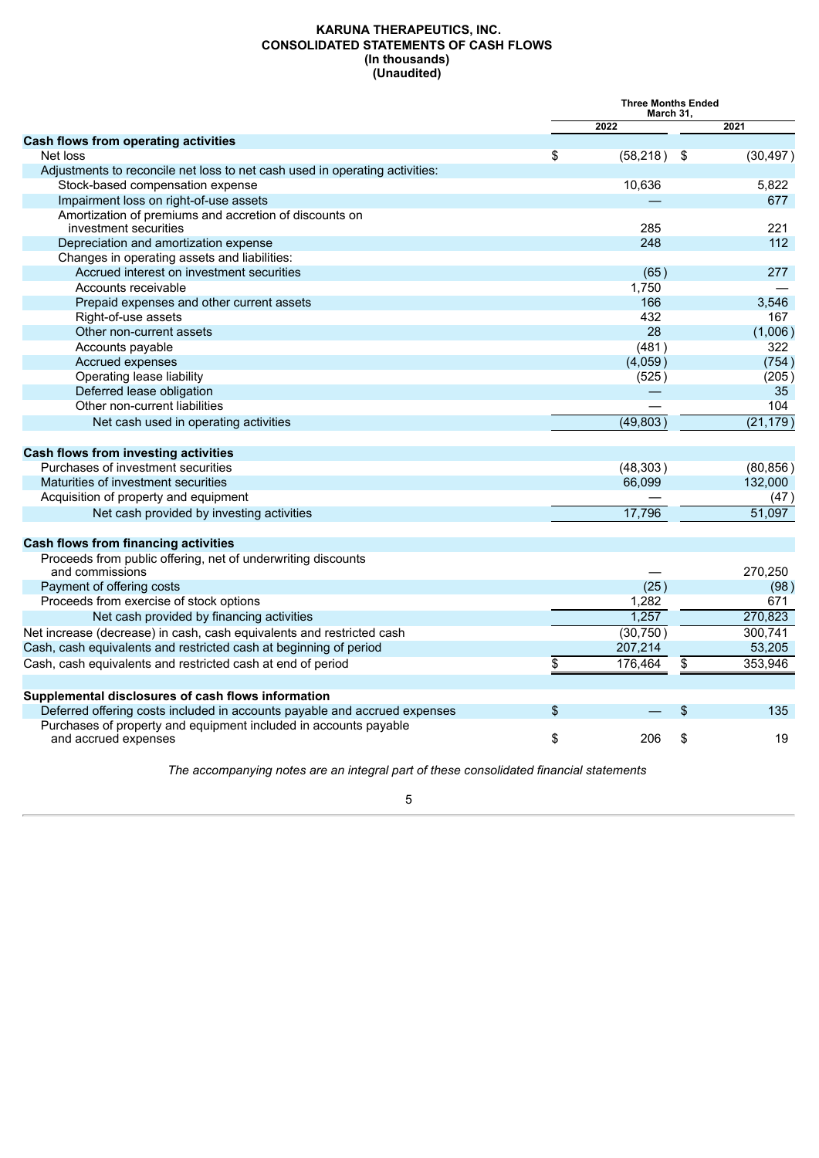#### **KARUNA THERAPEUTICS, INC. CONSOLIDATED STATEMENTS OF CASH FLOWS (In thousands) (Unaudited)**

<span id="page-6-0"></span>

|                                                                                          | <b>Three Months Ended</b><br>March 31, |           |                 |           |
|------------------------------------------------------------------------------------------|----------------------------------------|-----------|-----------------|-----------|
|                                                                                          |                                        | 2022      |                 | 2021      |
| <b>Cash flows from operating activities</b>                                              |                                        |           |                 |           |
| Net loss                                                                                 | \$                                     | (58, 218) | - \$            | (30, 497) |
| Adjustments to reconcile net loss to net cash used in operating activities:              |                                        |           |                 |           |
| Stock-based compensation expense                                                         |                                        | 10,636    |                 | 5,822     |
| Impairment loss on right-of-use assets                                                   |                                        |           |                 | 677       |
| Amortization of premiums and accretion of discounts on<br>investment securities          |                                        | 285       |                 | 221       |
| Depreciation and amortization expense                                                    |                                        | 248       |                 | 112       |
| Changes in operating assets and liabilities:                                             |                                        |           |                 |           |
| Accrued interest on investment securities                                                |                                        | (65)      |                 | 277       |
| Accounts receivable                                                                      |                                        | 1,750     |                 |           |
| Prepaid expenses and other current assets                                                |                                        | 166       |                 | 3,546     |
| Right-of-use assets                                                                      |                                        | 432       |                 | 167       |
| Other non-current assets                                                                 |                                        | 28        |                 | (1,006)   |
| Accounts payable                                                                         |                                        | (481)     |                 | 322       |
| Accrued expenses                                                                         |                                        | (4,059)   |                 | (754)     |
| Operating lease liability                                                                |                                        | (525)     |                 | (205)     |
| Deferred lease obligation                                                                |                                        |           |                 | 35        |
| Other non-current liabilities                                                            |                                        |           |                 | 104       |
| Net cash used in operating activities                                                    |                                        | (49.803)  |                 | (21, 179) |
| Cash flows from investing activities                                                     |                                        |           |                 |           |
| Purchases of investment securities                                                       |                                        | (48, 303) |                 | (80, 856) |
| Maturities of investment securities                                                      |                                        | 66,099    |                 | 132,000   |
| Acquisition of property and equipment                                                    |                                        |           |                 | (47)      |
| Net cash provided by investing activities                                                |                                        | 17,796    |                 | 51,097    |
| <b>Cash flows from financing activities</b>                                              |                                        |           |                 |           |
| Proceeds from public offering, net of underwriting discounts                             |                                        |           |                 |           |
| and commissions                                                                          |                                        |           |                 | 270,250   |
| Payment of offering costs                                                                |                                        | (25)      |                 | (98)      |
| Proceeds from exercise of stock options                                                  |                                        | 1.282     |                 | 671       |
| Net cash provided by financing activities                                                |                                        | 1,257     |                 | 270,823   |
| Net increase (decrease) in cash, cash equivalents and restricted cash                    |                                        | (30, 750) |                 | 300,741   |
| Cash, cash equivalents and restricted cash at beginning of period                        |                                        | 207,214   |                 | 53,205    |
| Cash, cash equivalents and restricted cash at end of period                              | $\overline{\$}$                        | 176,464   | $\overline{\$}$ | 353,946   |
| Supplemental disclosures of cash flows information                                       |                                        |           |                 |           |
| Deferred offering costs included in accounts payable and accrued expenses                | \$                                     |           | \$              | 135       |
| Purchases of property and equipment included in accounts payable<br>and accrued expenses | \$                                     | 206       | \$              | 19        |
|                                                                                          |                                        |           |                 |           |

*The accompanying notes are an integral part of these consolidated financial statements*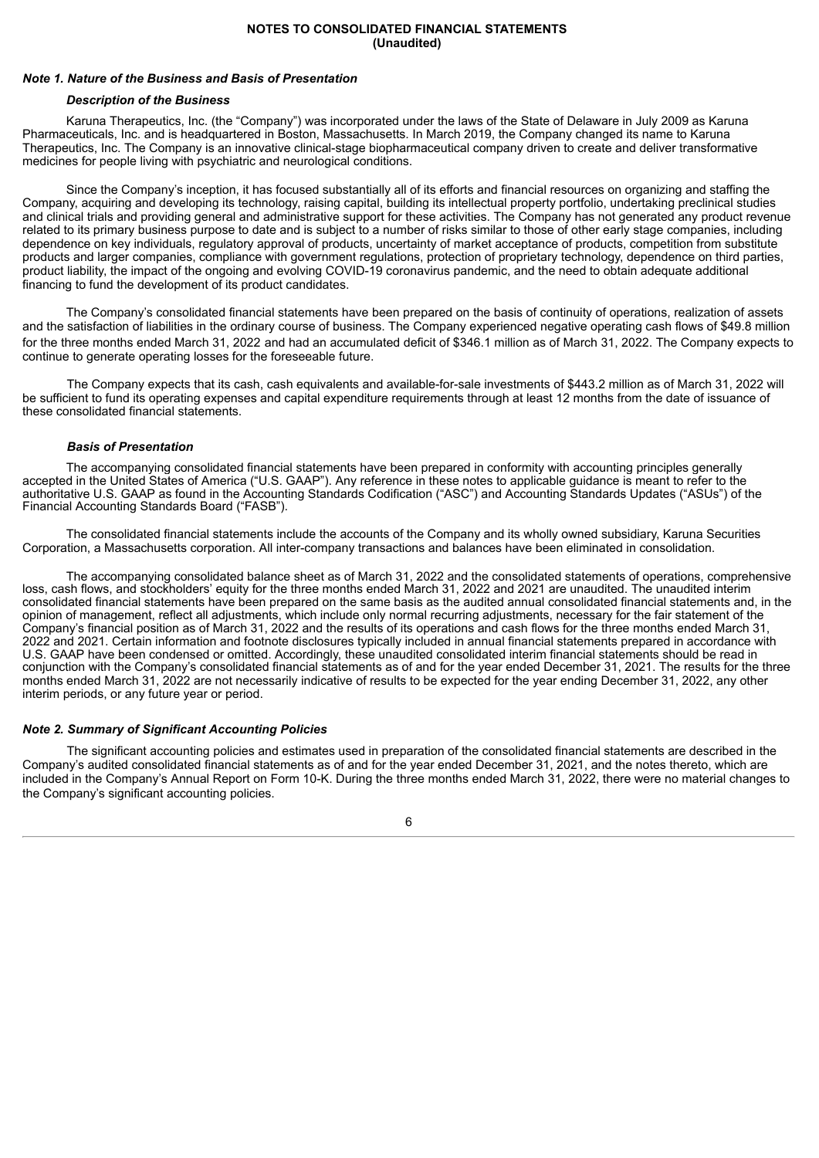#### **NOTES TO CONSOLIDATED FINANCIAL STATEMENTS (Unaudited)**

#### <span id="page-7-0"></span>*Note 1. Nature of the Business and Basis of Presentation*

#### *Description of the Business*

Karuna Therapeutics, Inc. (the "Company") was incorporated under the laws of the State of Delaware in July 2009 as Karuna Pharmaceuticals, Inc. and is headquartered in Boston, Massachusetts. In March 2019, the Company changed its name to Karuna Therapeutics, Inc. The Company is an innovative clinical-stage biopharmaceutical company driven to create and deliver transformative medicines for people living with psychiatric and neurological conditions.

Since the Company's inception, it has focused substantially all of its efforts and financial resources on organizing and staffing the Company, acquiring and developing its technology, raising capital, building its intellectual property portfolio, undertaking preclinical studies and clinical trials and providing general and administrative support for these activities. The Company has not generated any product revenue related to its primary business purpose to date and is subject to a number of risks similar to those of other early stage companies, including dependence on key individuals, regulatory approval of products, uncertainty of market acceptance of products, competition from substitute products and larger companies, compliance with government regulations, protection of proprietary technology, dependence on third parties, product liability, the impact of the ongoing and evolving COVID-19 coronavirus pandemic, and the need to obtain adequate additional financing to fund the development of its product candidates.

The Company's consolidated financial statements have been prepared on the basis of continuity of operations, realization of assets and the satisfaction of liabilities in the ordinary course of business. The Company experienced negative operating cash flows of \$49.8 million for the three months ended March 31, 2022 and had an accumulated deficit of \$346.1 million as of March 31, 2022. The Company expects to continue to generate operating losses for the foreseeable future.

The Company expects that its cash, cash equivalents and available-for-sale investments of \$443.2 million as of March 31, 2022 will be sufficient to fund its operating expenses and capital expenditure requirements through at least 12 months from the date of issuance of these consolidated financial statements.

#### *Basis of Presentation*

The accompanying consolidated financial statements have been prepared in conformity with accounting principles generally accepted in the United States of America ("U.S. GAAP"). Any reference in these notes to applicable guidance is meant to refer to the authoritative U.S. GAAP as found in the Accounting Standards Codification ("ASC") and Accounting Standards Updates ("ASUs") of the Financial Accounting Standards Board ("FASB").

The consolidated financial statements include the accounts of the Company and its wholly owned subsidiary, Karuna Securities Corporation, a Massachusetts corporation. All inter-company transactions and balances have been eliminated in consolidation.

The accompanying consolidated balance sheet as of March 31, 2022 and the consolidated statements of operations, comprehensive loss, cash flows, and stockholders' equity for the three months ended March 31, 2022 and 2021 are unaudited. The unaudited interim consolidated financial statements have been prepared on the same basis as the audited annual consolidated financial statements and, in the opinion of management, reflect all adjustments, which include only normal recurring adjustments, necessary for the fair statement of the Company's financial position as of March 31, 2022 and the results of its operations and cash flows for the three months ended March 31, 2022 and 2021. Certain information and footnote disclosures typically included in annual financial statements prepared in accordance with U.S. GAAP have been condensed or omitted. Accordingly, these unaudited consolidated interim financial statements should be read in conjunction with the Company's consolidated financial statements as of and for the year ended December 31, 2021. The results for the three months ended March 31, 2022 are not necessarily indicative of results to be expected for the year ending December 31, 2022, any other interim periods, or any future year or period.

## *Note 2. Summary of Significant Accounting Policies*

The significant accounting policies and estimates used in preparation of the consolidated financial statements are described in the Company's audited consolidated financial statements as of and for the year ended December 31, 2021, and the notes thereto, which are included in the Company's Annual Report on Form 10-K. During the three months ended March 31, 2022, there were no material changes to the Company's significant accounting policies.

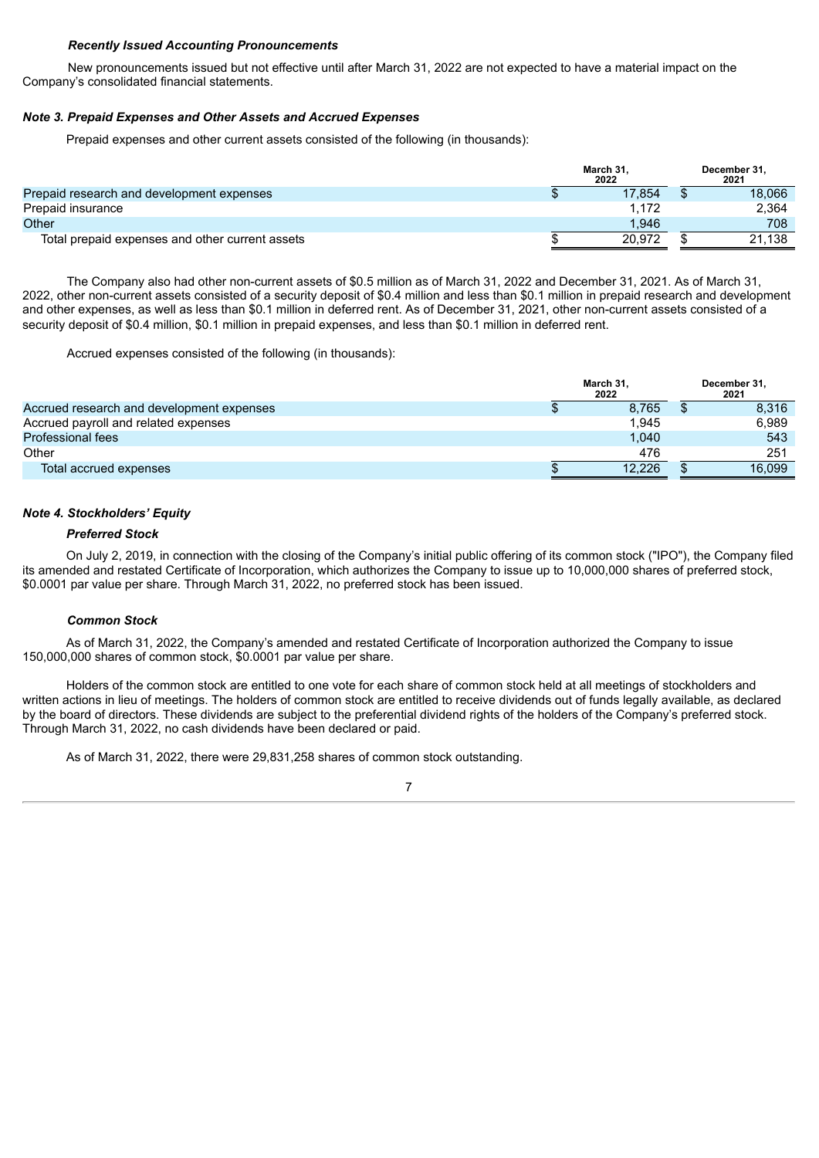## *Recently Issued Accounting Pronouncements*

New pronouncements issued but not effective until after March 31, 2022 are not expected to have a material impact on the Company's consolidated financial statements.

## *Note 3. Prepaid Expenses and Other Assets and Accrued Expenses*

Prepaid expenses and other current assets consisted of the following (in thousands):

|                                                 | March 31.<br>2022 | December 31.<br>2021 |
|-------------------------------------------------|-------------------|----------------------|
| Prepaid research and development expenses       | 17.854            | 18.066               |
| Prepaid insurance                               | 1.172             | 2.364                |
| Other                                           | 1.946             | 708                  |
| Total prepaid expenses and other current assets | 20.972            | 21.138               |

The Company also had other non-current assets of \$0.5 million as of March 31, 2022 and December 31, 2021. As of March 31, 2022, other non-current assets consisted of a security deposit of \$0.4 million and less than \$0.1 million in prepaid research and development and other expenses, as well as less than \$0.1 million in deferred rent. As of December 31, 2021, other non-current assets consisted of a security deposit of \$0.4 million, \$0.1 million in prepaid expenses, and less than \$0.1 million in deferred rent.

Accrued expenses consisted of the following (in thousands):

|                                           | March 31,<br>2022 | December 31,<br>2021 |
|-------------------------------------------|-------------------|----------------------|
| Accrued research and development expenses | 8.765             | 8,316                |
| Accrued payroll and related expenses      | 1.945             | 6.989                |
| Professional fees                         | 1.040             | 543                  |
| Other                                     | 476               | 251                  |
| Total accrued expenses                    | 12.226            | 16.099               |

## *Note 4. Stockholders' Equity*

## *Preferred Stock*

On July 2, 2019, in connection with the closing of the Company's initial public offering of its common stock ("IPO"), the Company filed its amended and restated Certificate of Incorporation, which authorizes the Company to issue up to 10,000,000 shares of preferred stock, \$0.0001 par value per share. Through March 31, 2022, no preferred stock has been issued.

#### *Common Stock*

As of March 31, 2022, the Company's amended and restated Certificate of Incorporation authorized the Company to issue 150,000,000 shares of common stock, \$0.0001 par value per share.

Holders of the common stock are entitled to one vote for each share of common stock held at all meetings of stockholders and written actions in lieu of meetings. The holders of common stock are entitled to receive dividends out of funds legally available, as declared by the board of directors. These dividends are subject to the preferential dividend rights of the holders of the Company's preferred stock. Through March 31, 2022, no cash dividends have been declared or paid.

As of March 31, 2022, there were 29,831,258 shares of common stock outstanding.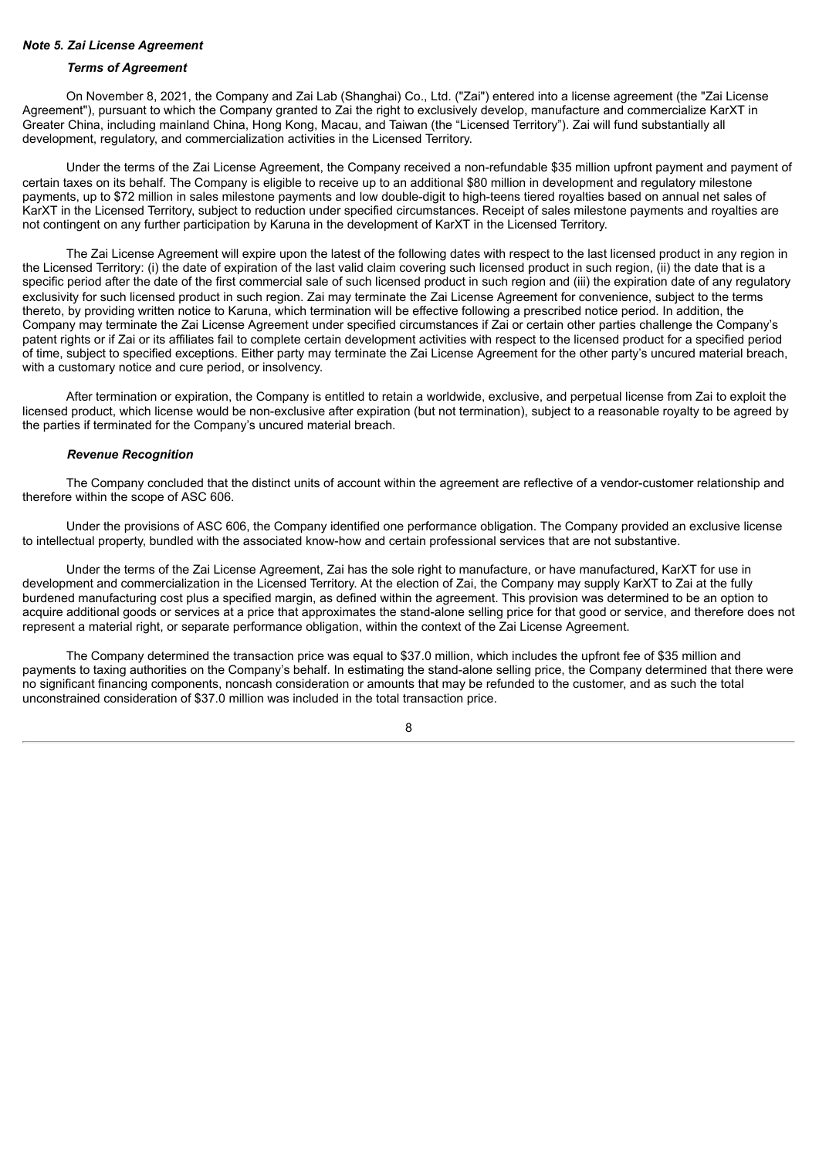#### *Note 5. Zai License Agreement*

#### *Terms of Agreement*

On November 8, 2021, the Company and Zai Lab (Shanghai) Co., Ltd. ("Zai") entered into a license agreement (the "Zai License Agreement"), pursuant to which the Company granted to Zai the right to exclusively develop, manufacture and commercialize KarXT in Greater China, including mainland China, Hong Kong, Macau, and Taiwan (the "Licensed Territory"). Zai will fund substantially all development, regulatory, and commercialization activities in the Licensed Territory.

Under the terms of the Zai License Agreement, the Company received a non-refundable \$35 million upfront payment and payment of certain taxes on its behalf. The Company is eligible to receive up to an additional \$80 million in development and regulatory milestone payments, up to \$72 million in sales milestone payments and low double-digit to high-teens tiered royalties based on annual net sales of KarXT in the Licensed Territory, subject to reduction under specified circumstances. Receipt of sales milestone payments and royalties are not contingent on any further participation by Karuna in the development of KarXT in the Licensed Territory.

The Zai License Agreement will expire upon the latest of the following dates with respect to the last licensed product in any region in the Licensed Territory: (i) the date of expiration of the last valid claim covering such licensed product in such region, (ii) the date that is a specific period after the date of the first commercial sale of such licensed product in such region and (iii) the expiration date of any regulatory exclusivity for such licensed product in such region. Zai may terminate the Zai License Agreement for convenience, subject to the terms thereto, by providing written notice to Karuna, which termination will be effective following a prescribed notice period. In addition, the Company may terminate the Zai License Agreement under specified circumstances if Zai or certain other parties challenge the Company's patent rights or if Zai or its affiliates fail to complete certain development activities with respect to the licensed product for a specified period of time, subject to specified exceptions. Either party may terminate the Zai License Agreement for the other party's uncured material breach, with a customary notice and cure period, or insolvency.

After termination or expiration, the Company is entitled to retain a worldwide, exclusive, and perpetual license from Zai to exploit the licensed product, which license would be non-exclusive after expiration (but not termination), subject to a reasonable royalty to be agreed by the parties if terminated for the Company's uncured material breach.

#### *Revenue Recognition*

The Company concluded that the distinct units of account within the agreement are reflective of a vendor-customer relationship and therefore within the scope of ASC 606.

Under the provisions of ASC 606, the Company identified one performance obligation. The Company provided an exclusive license to intellectual property, bundled with the associated know-how and certain professional services that are not substantive.

Under the terms of the Zai License Agreement, Zai has the sole right to manufacture, or have manufactured, KarXT for use in development and commercialization in the Licensed Territory. At the election of Zai, the Company may supply KarXT to Zai at the fully burdened manufacturing cost plus a specified margin, as defined within the agreement. This provision was determined to be an option to acquire additional goods or services at a price that approximates the stand-alone selling price for that good or service, and therefore does not represent a material right, or separate performance obligation, within the context of the Zai License Agreement.

The Company determined the transaction price was equal to \$37.0 million, which includes the upfront fee of \$35 million and payments to taxing authorities on the Company's behalf. In estimating the stand-alone selling price, the Company determined that there were no significant financing components, noncash consideration or amounts that may be refunded to the customer, and as such the total unconstrained consideration of \$37.0 million was included in the total transaction price.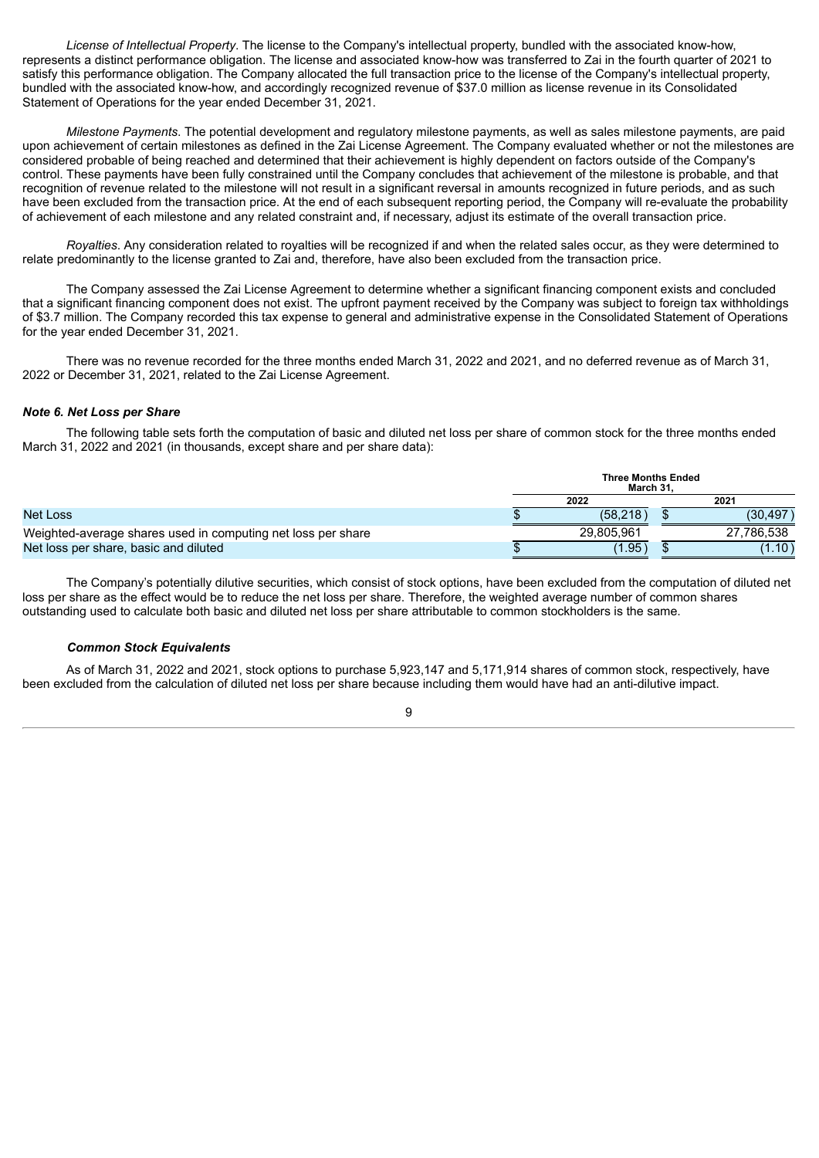*License of Intellectual Property*. The license to the Company's intellectual property, bundled with the associated know-how, represents a distinct performance obligation. The license and associated know-how was transferred to Zai in the fourth quarter of 2021 to satisfy this performance obligation. The Company allocated the full transaction price to the license of the Company's intellectual property, bundled with the associated know-how, and accordingly recognized revenue of \$37.0 million as license revenue in its Consolidated Statement of Operations for the year ended December 31, 2021.

*Milestone Payments*. The potential development and regulatory milestone payments, as well as sales milestone payments, are paid upon achievement of certain milestones as defined in the Zai License Agreement. The Company evaluated whether or not the milestones are considered probable of being reached and determined that their achievement is highly dependent on factors outside of the Company's control. These payments have been fully constrained until the Company concludes that achievement of the milestone is probable, and that recognition of revenue related to the milestone will not result in a significant reversal in amounts recognized in future periods, and as such have been excluded from the transaction price. At the end of each subsequent reporting period, the Company will re-evaluate the probability of achievement of each milestone and any related constraint and, if necessary, adjust its estimate of the overall transaction price.

*Royalties*. Any consideration related to royalties will be recognized if and when the related sales occur, as they were determined to relate predominantly to the license granted to Zai and, therefore, have also been excluded from the transaction price.

The Company assessed the Zai License Agreement to determine whether a significant financing component exists and concluded that a significant financing component does not exist. The upfront payment received by the Company was subject to foreign tax withholdings of \$3.7 million. The Company recorded this tax expense to general and administrative expense in the Consolidated Statement of Operations for the year ended December 31, 2021.

There was no revenue recorded for the three months ended March 31, 2022 and 2021, and no deferred revenue as of March 31, 2022 or December 31, 2021, related to the Zai License Agreement.

#### *Note 6. Net Loss per Share*

The following table sets forth the computation of basic and diluted net loss per share of common stock for the three months ended March 31, 2022 and 2021 (in thousands, except share and per share data):

|                                                              | <b>Three Months Ended</b><br>March 31. |        |            |  |  |  |
|--------------------------------------------------------------|----------------------------------------|--------|------------|--|--|--|
|                                                              | 2022                                   | 2021   |            |  |  |  |
| <b>Net Loss</b>                                              | (58.218)                               |        | (30.497)   |  |  |  |
| Weighted-average shares used in computing net loss per share | 29.805.961                             |        | 27.786.538 |  |  |  |
| Net loss per share, basic and diluted                        | (1.95)                                 | (1.10) |            |  |  |  |

The Company's potentially dilutive securities, which consist of stock options, have been excluded from the computation of diluted net loss per share as the effect would be to reduce the net loss per share. Therefore, the weighted average number of common shares outstanding used to calculate both basic and diluted net loss per share attributable to common stockholders is the same.

## *Common Stock Equivalents*

As of March 31, 2022 and 2021, stock options to purchase 5,923,147 and 5,171,914 shares of common stock, respectively, have been excluded from the calculation of diluted net loss per share because including them would have had an anti-dilutive impact.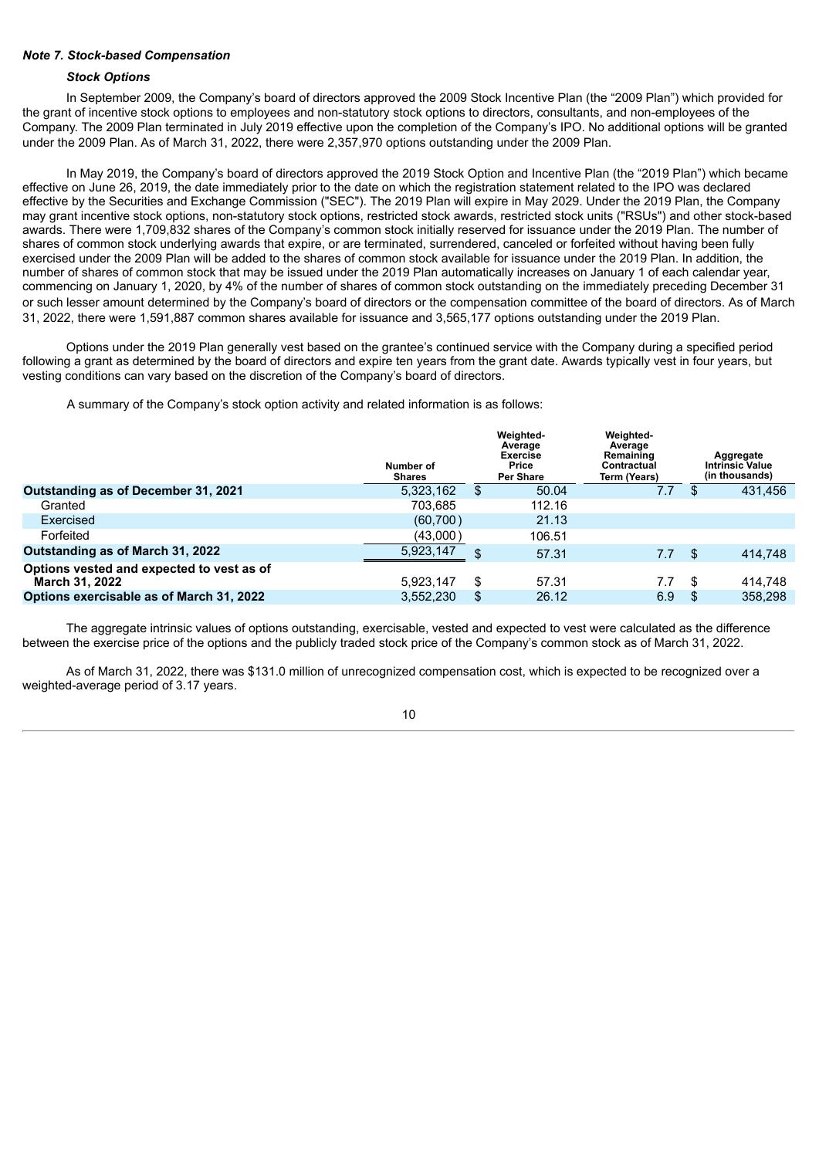## *Note 7. Stock-based Compensation*

#### *Stock Options*

In September 2009, the Company's board of directors approved the 2009 Stock Incentive Plan (the "2009 Plan") which provided for the grant of incentive stock options to employees and non-statutory stock options to directors, consultants, and non-employees of the Company. The 2009 Plan terminated in July 2019 effective upon the completion of the Company's IPO. No additional options will be granted under the 2009 Plan. As of March 31, 2022, there were 2,357,970 options outstanding under the 2009 Plan.

In May 2019, the Company's board of directors approved the 2019 Stock Option and Incentive Plan (the "2019 Plan") which became effective on June 26, 2019, the date immediately prior to the date on which the registration statement related to the IPO was declared effective by the Securities and Exchange Commission ("SEC"). The 2019 Plan will expire in May 2029. Under the 2019 Plan, the Company may grant incentive stock options, non-statutory stock options, restricted stock awards, restricted stock units ("RSUs") and other stock-based awards. There were 1,709,832 shares of the Company's common stock initially reserved for issuance under the 2019 Plan. The number of shares of common stock underlying awards that expire, or are terminated, surrendered, canceled or forfeited without having been fully exercised under the 2009 Plan will be added to the shares of common stock available for issuance under the 2019 Plan. In addition, the number of shares of common stock that may be issued under the 2019 Plan automatically increases on January 1 of each calendar year, commencing on January 1, 2020, by 4% of the number of shares of common stock outstanding on the immediately preceding December 31 or such lesser amount determined by the Company's board of directors or the compensation committee of the board of directors. As of March 31, 2022, there were 1,591,887 common shares available for issuance and 3,565,177 options outstanding under the 2019 Plan.

Options under the 2019 Plan generally vest based on the grantee's continued service with the Company during a specified period following a grant as determined by the board of directors and expire ten years from the grant date. Awards typically vest in four years, but vesting conditions can vary based on the discretion of the Company's board of directors.

A summary of the Company's stock option activity and related information is as follows:

|                                                             | Number of<br><b>Shares</b> | Weighted-<br>Average<br>Exercise<br>Price<br><b>Per Share</b> | Weighted-<br>Average<br>Remaining<br>Contractual<br>Term (Years) |    | Aggregate<br><b>Intrinsic Value</b><br>(in thousands) |
|-------------------------------------------------------------|----------------------------|---------------------------------------------------------------|------------------------------------------------------------------|----|-------------------------------------------------------|
| Outstanding as of December 31, 2021                         | 5,323,162                  | \$<br>50.04                                                   | 7.7                                                              |    | 431,456                                               |
| Granted                                                     | 703.685                    | 112.16                                                        |                                                                  |    |                                                       |
| Exercised                                                   | (60, 700)                  | 21.13                                                         |                                                                  |    |                                                       |
| Forfeited                                                   | (43,000)                   | 106.51                                                        |                                                                  |    |                                                       |
| Outstanding as of March 31, 2022                            | 5,923,147                  | \$<br>57.31                                                   | 7.7                                                              | S. | 414.748                                               |
| Options vested and expected to vest as of<br>March 31, 2022 | 5.923.147                  | \$<br>57.31                                                   | 7.7                                                              | S  | 414.748                                               |
| Options exercisable as of March 31, 2022                    | 3,552,230                  | \$<br>26.12                                                   | 6.9                                                              |    | 358,298                                               |

The aggregate intrinsic values of options outstanding, exercisable, vested and expected to vest were calculated as the difference between the exercise price of the options and the publicly traded stock price of the Company's common stock as of March 31, 2022.

As of March 31, 2022, there was \$131.0 million of unrecognized compensation cost, which is expected to be recognized over a weighted-average period of 3.17 years.

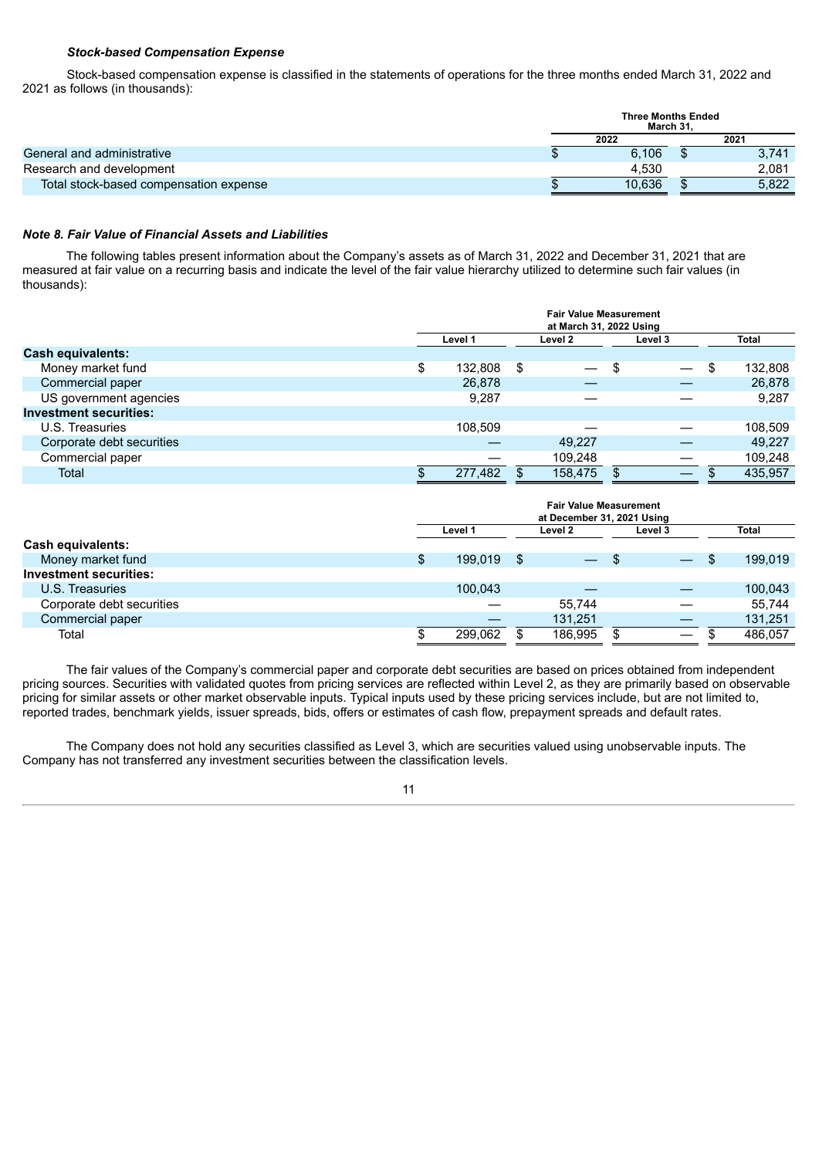#### *Stock-based Compensation Expense*

Stock-based compensation expense is classified in the statements of operations for the three months ended March 31, 2022 and 2021 as follows (in thousands):

|                                        | <b>Three Months Ended</b><br>March 31. |        |  |       |  |
|----------------------------------------|----------------------------------------|--------|--|-------|--|
|                                        |                                        | 2022   |  | 2021  |  |
| General and administrative             |                                        | 6,106  |  | 3,741 |  |
| Research and development               |                                        | 4.530  |  | 2,081 |  |
| Total stock-based compensation expense |                                        | 10.636 |  | 5,822 |  |

## *Note 8. Fair Value of Financial Assets and Liabilities*

The following tables present information about the Company's assets as of March 31, 2022 and December 31, 2021 that are measured at fair value on a recurring basis and indicate the level of the fair value hierarchy utilized to determine such fair values (in thousands):

|                               | <b>Fair Value Measurement</b><br>at March 31, 2022 Using |         |         |                          |    |                          |         |         |  |              |
|-------------------------------|----------------------------------------------------------|---------|---------|--------------------------|----|--------------------------|---------|---------|--|--------------|
|                               |                                                          | Level 1 | Level 2 |                          |    |                          | Level 3 |         |  | <b>Total</b> |
| <b>Cash equivalents:</b>      |                                                          |         |         |                          |    |                          |         |         |  |              |
| Money market fund             | \$                                                       | 132,808 | \$      | $\overline{\phantom{0}}$ | \$ | $\overline{\phantom{m}}$ | -\$     | 132,808 |  |              |
| Commercial paper              |                                                          | 26,878  |         |                          |    |                          |         | 26,878  |  |              |
| US government agencies        |                                                          | 9.287   |         |                          |    |                          |         | 9,287   |  |              |
| <b>Investment securities:</b> |                                                          |         |         |                          |    |                          |         |         |  |              |
| U.S. Treasuries               |                                                          | 108.509 |         |                          |    |                          |         | 108,509 |  |              |
| Corporate debt securities     |                                                          |         |         | 49.227                   |    |                          |         | 49.227  |  |              |
| Commercial paper              |                                                          |         |         | 109.248                  |    |                          |         | 109,248 |  |              |
| <b>Total</b>                  |                                                          | 277,482 |         | 158,475                  | S. | $\overline{\phantom{0}}$ |         | 435,957 |  |              |

|                               | <b>Fair Value Measurement</b><br>at December 31, 2021 Using |    |                          |      |                          |      |         |  |  |
|-------------------------------|-------------------------------------------------------------|----|--------------------------|------|--------------------------|------|---------|--|--|
|                               | Level 1                                                     |    | Level 2                  |      | Level 3                  |      | Total   |  |  |
| Cash equivalents:             |                                                             |    |                          |      |                          |      |         |  |  |
| Money market fund             | \$<br>199.019                                               | \$ | $\overline{\phantom{0}}$ | - \$ | $\overline{\phantom{a}}$ | - \$ | 199,019 |  |  |
| <b>Investment securities:</b> |                                                             |    |                          |      |                          |      |         |  |  |
| U.S. Treasuries               | 100,043                                                     |    |                          |      |                          |      | 100,043 |  |  |
| Corporate debt securities     |                                                             |    | 55.744                   |      |                          |      | 55.744  |  |  |
| Commercial paper              |                                                             |    | 131,251                  |      |                          |      | 131,251 |  |  |
| Total                         | 299.062                                                     |    | 186.995                  | S    |                          |      | 486.057 |  |  |

The fair values of the Company's commercial paper and corporate debt securities are based on prices obtained from independent pricing sources. Securities with validated quotes from pricing services are reflected within Level 2, as they are primarily based on observable pricing for similar assets or other market observable inputs. Typical inputs used by these pricing services include, but are not limited to, reported trades, benchmark yields, issuer spreads, bids, offers or estimates of cash flow, prepayment spreads and default rates.

The Company does not hold any securities classified as Level 3, which are securities valued using unobservable inputs. The Company has not transferred any investment securities between the classification levels.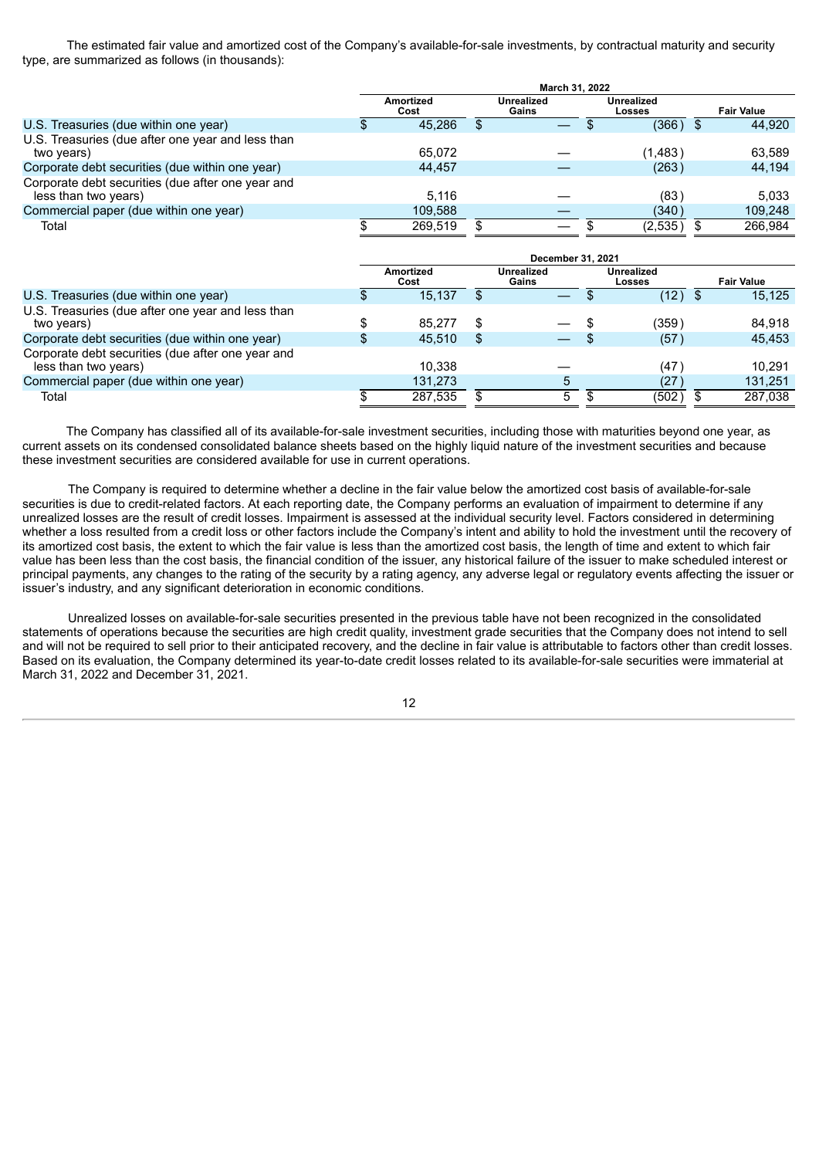The estimated fair value and amortized cost of the Company's available-for-sale investments, by contractual maturity and security type, are summarized as follows (in thousands):

|                                                                           | March 31, 2022 |                          |     |                     |  |                             |  |                   |
|---------------------------------------------------------------------------|----------------|--------------------------|-----|---------------------|--|-----------------------------|--|-------------------|
|                                                                           |                | <b>Amortized</b><br>Cost |     | Unrealized<br>Gains |  | <b>Unrealized</b><br>Losses |  | <b>Fair Value</b> |
| U.S. Treasuries (due within one year)                                     |                | 45.286                   | \$. |                     |  | (366)                       |  | 44.920            |
| U.S. Treasuries (due after one year and less than<br>two years)           |                | 65.072                   |     |                     |  | (1,483)                     |  | 63.589            |
| Corporate debt securities (due within one year)                           |                | 44.457                   |     |                     |  | (263)                       |  | 44,194            |
| Corporate debt securities (due after one year and<br>less than two years) |                | 5.116                    |     |                     |  | (83)                        |  | 5.033             |
| Commercial paper (due within one year)                                    |                | 109.588                  |     |                     |  | (340)                       |  | 109.248           |
| Total                                                                     |                | 269.519                  |     | $\qquad \qquad$     |  | (2,535)                     |  | 266.984           |

|                                                                           | December 31, 2021 |                   |    |                          |  |                      |  |                   |  |
|---------------------------------------------------------------------------|-------------------|-------------------|----|--------------------------|--|----------------------|--|-------------------|--|
|                                                                           |                   | Amortized<br>Cost |    | Unrealized<br>Gains      |  | Unrealized<br>Losses |  | <b>Fair Value</b> |  |
| U.S. Treasuries (due within one year)                                     |                   | 15.137            |    |                          |  | (12)                 |  | 15.125            |  |
| U.S. Treasuries (due after one year and less than<br>two years)           |                   | 85.277            |    | $\overline{\phantom{0}}$ |  | (359                 |  | 84.918            |  |
| Corporate debt securities (due within one year)                           |                   | 45.510            | S  |                          |  | (57)                 |  | 45.453            |  |
| Corporate debt securities (due after one year and<br>less than two years) |                   | 10.338            |    |                          |  | (47                  |  | 10.291            |  |
| Commercial paper (due within one year)                                    |                   | 131.273           |    | 5                        |  | (27)                 |  | 131,251           |  |
| Total                                                                     |                   | 287.535           | £. | 5                        |  | (502)                |  | 287.038           |  |

The Company has classified all of its available-for-sale investment securities, including those with maturities beyond one year, as current assets on its condensed consolidated balance sheets based on the highly liquid nature of the investment securities and because these investment securities are considered available for use in current operations.

The Company is required to determine whether a decline in the fair value below the amortized cost basis of available-for-sale securities is due to credit-related factors. At each reporting date, the Company performs an evaluation of impairment to determine if any unrealized losses are the result of credit losses. Impairment is assessed at the individual security level. Factors considered in determining whether a loss resulted from a credit loss or other factors include the Company's intent and ability to hold the investment until the recovery of its amortized cost basis, the extent to which the fair value is less than the amortized cost basis, the length of time and extent to which fair value has been less than the cost basis, the financial condition of the issuer, any historical failure of the issuer to make scheduled interest or principal payments, any changes to the rating of the security by a rating agency, any adverse legal or regulatory events affecting the issuer or issuer's industry, and any significant deterioration in economic conditions.

Unrealized losses on available-for-sale securities presented in the previous table have not been recognized in the consolidated statements of operations because the securities are high credit quality, investment grade securities that the Company does not intend to sell and will not be required to sell prior to their anticipated recovery, and the decline in fair value is attributable to factors other than credit losses. Based on its evaluation, the Company determined its year-to-date credit losses related to its available-for-sale securities were immaterial at March 31, 2022 and December 31, 2021.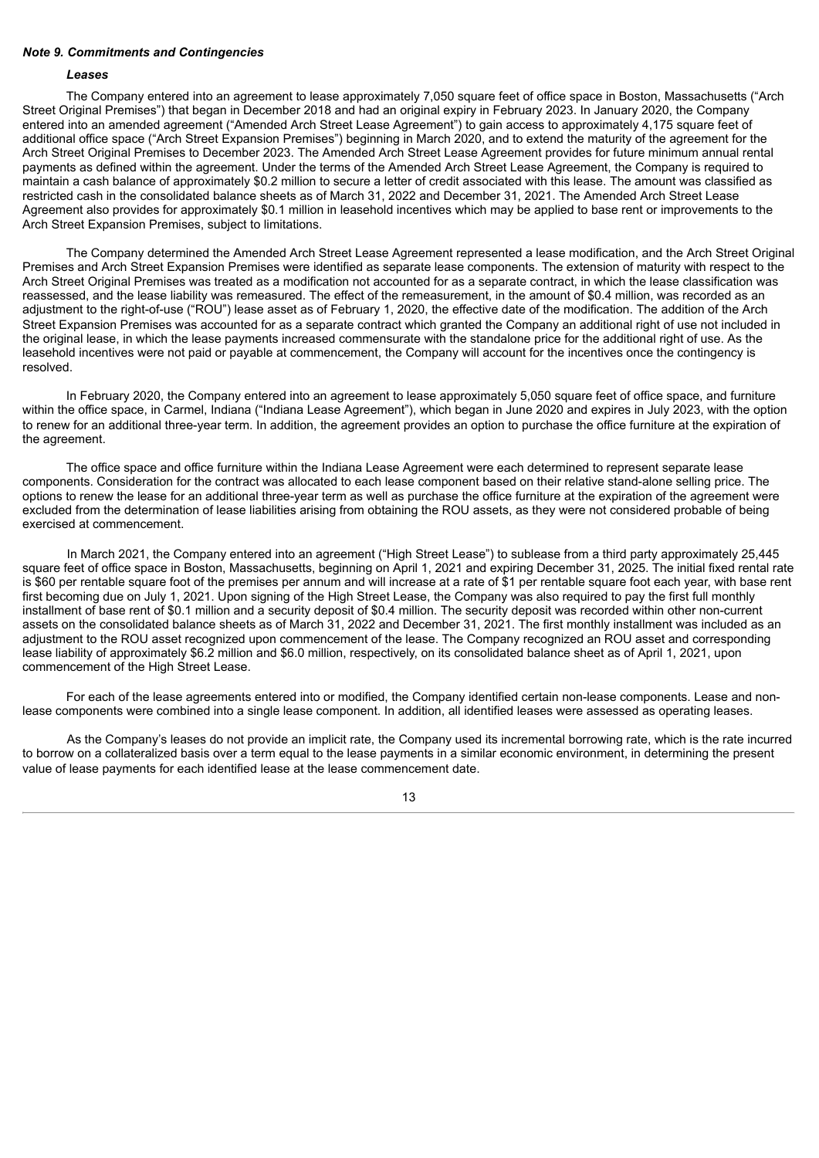#### *Note 9. Commitments and Contingencies*

## *Leases*

The Company entered into an agreement to lease approximately 7,050 square feet of office space in Boston, Massachusetts ("Arch Street Original Premises") that began in December 2018 and had an original expiry in February 2023. In January 2020, the Company entered into an amended agreement ("Amended Arch Street Lease Agreement") to gain access to approximately 4,175 square feet of additional office space ("Arch Street Expansion Premises") beginning in March 2020, and to extend the maturity of the agreement for the Arch Street Original Premises to December 2023. The Amended Arch Street Lease Agreement provides for future minimum annual rental payments as defined within the agreement. Under the terms of the Amended Arch Street Lease Agreement, the Company is required to maintain a cash balance of approximately \$0.2 million to secure a letter of credit associated with this lease. The amount was classified as restricted cash in the consolidated balance sheets as of March 31, 2022 and December 31, 2021. The Amended Arch Street Lease Agreement also provides for approximately \$0.1 million in leasehold incentives which may be applied to base rent or improvements to the Arch Street Expansion Premises, subject to limitations.

The Company determined the Amended Arch Street Lease Agreement represented a lease modification, and the Arch Street Original Premises and Arch Street Expansion Premises were identified as separate lease components. The extension of maturity with respect to the Arch Street Original Premises was treated as a modification not accounted for as a separate contract, in which the lease classification was reassessed, and the lease liability was remeasured. The effect of the remeasurement, in the amount of \$0.4 million, was recorded as an adjustment to the right-of-use ("ROU") lease asset as of February 1, 2020, the effective date of the modification. The addition of the Arch Street Expansion Premises was accounted for as a separate contract which granted the Company an additional right of use not included in the original lease, in which the lease payments increased commensurate with the standalone price for the additional right of use. As the leasehold incentives were not paid or payable at commencement, the Company will account for the incentives once the contingency is resolved.

In February 2020, the Company entered into an agreement to lease approximately 5,050 square feet of office space, and furniture within the office space, in Carmel, Indiana ("Indiana Lease Agreement"), which began in June 2020 and expires in July 2023, with the option to renew for an additional three-year term. In addition, the agreement provides an option to purchase the office furniture at the expiration of the agreement.

The office space and office furniture within the Indiana Lease Agreement were each determined to represent separate lease components. Consideration for the contract was allocated to each lease component based on their relative stand-alone selling price. The options to renew the lease for an additional three-year term as well as purchase the office furniture at the expiration of the agreement were excluded from the determination of lease liabilities arising from obtaining the ROU assets, as they were not considered probable of being exercised at commencement.

In March 2021, the Company entered into an agreement ("High Street Lease") to sublease from a third party approximately 25,445 square feet of office space in Boston, Massachusetts, beginning on April 1, 2021 and expiring December 31, 2025. The initial fixed rental rate is \$60 per rentable square foot of the premises per annum and will increase at a rate of \$1 per rentable square foot each year, with base rent first becoming due on July 1, 2021. Upon signing of the High Street Lease, the Company was also required to pay the first full monthly installment of base rent of \$0.1 million and a security deposit of \$0.4 million. The security deposit was recorded within other non-current assets on the consolidated balance sheets as of March 31, 2022 and December 31, 2021. The first monthly installment was included as an adjustment to the ROU asset recognized upon commencement of the lease. The Company recognized an ROU asset and corresponding lease liability of approximately \$6.2 million and \$6.0 million, respectively, on its consolidated balance sheet as of April 1, 2021, upon commencement of the High Street Lease.

For each of the lease agreements entered into or modified, the Company identified certain non-lease components. Lease and nonlease components were combined into a single lease component. In addition, all identified leases were assessed as operating leases.

As the Company's leases do not provide an implicit rate, the Company used its incremental borrowing rate, which is the rate incurred to borrow on a collateralized basis over a term equal to the lease payments in a similar economic environment, in determining the present value of lease payments for each identified lease at the lease commencement date.

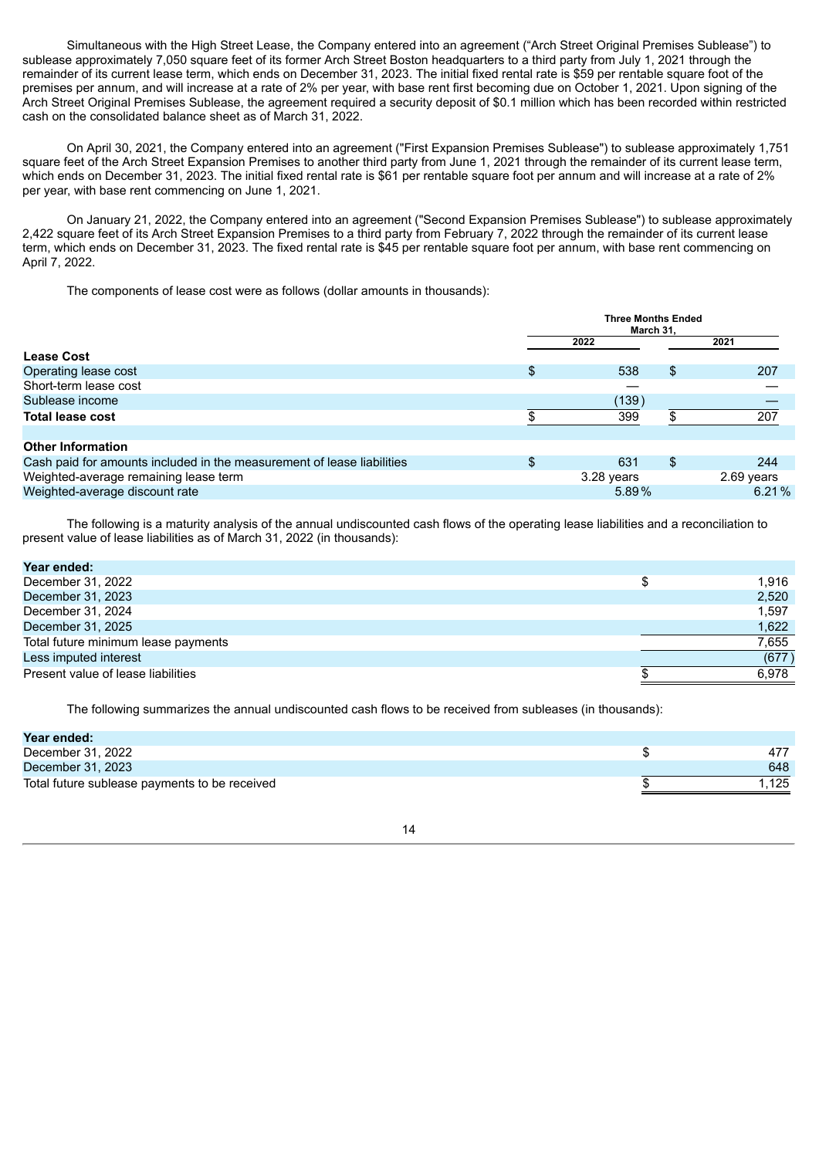Simultaneous with the High Street Lease, the Company entered into an agreement ("Arch Street Original Premises Sublease") to sublease approximately 7,050 square feet of its former Arch Street Boston headquarters to a third party from July 1, 2021 through the remainder of its current lease term, which ends on December 31, 2023. The initial fixed rental rate is \$59 per rentable square foot of the premises per annum, and will increase at a rate of 2% per year, with base rent first becoming due on October 1, 2021. Upon signing of the Arch Street Original Premises Sublease, the agreement required a security deposit of \$0.1 million which has been recorded within restricted cash on the consolidated balance sheet as of March 31, 2022.

On April 30, 2021, the Company entered into an agreement ("First Expansion Premises Sublease") to sublease approximately 1,751 square feet of the Arch Street Expansion Premises to another third party from June 1, 2021 through the remainder of its current lease term, which ends on December 31, 2023. The initial fixed rental rate is \$61 per rentable square foot per annum and will increase at a rate of 2% per year, with base rent commencing on June 1, 2021.

On January 21, 2022, the Company entered into an agreement ("Second Expansion Premises Sublease") to sublease approximately 2,422 square feet of its Arch Street Expansion Premises to a third party from February 7, 2022 through the remainder of its current lease term, which ends on December 31, 2023. The fixed rental rate is \$45 per rentable square foot per annum, with base rent commencing on April 7, 2022.

The components of lease cost were as follows (dollar amounts in thousands):

|                                                                        | <b>Three Months Ended</b><br>March 31. |    |            |  |  |  |  |  |
|------------------------------------------------------------------------|----------------------------------------|----|------------|--|--|--|--|--|
|                                                                        | 2022                                   |    | 2021       |  |  |  |  |  |
| <b>Lease Cost</b>                                                      |                                        |    |            |  |  |  |  |  |
| Operating lease cost                                                   | 538                                    | \$ | 207        |  |  |  |  |  |
| Short-term lease cost                                                  |                                        |    |            |  |  |  |  |  |
| Sublease income                                                        | (139)                                  |    |            |  |  |  |  |  |
| <b>Total lease cost</b>                                                | 399                                    |    | 207        |  |  |  |  |  |
|                                                                        |                                        |    |            |  |  |  |  |  |
| <b>Other Information</b>                                               |                                        |    |            |  |  |  |  |  |
| Cash paid for amounts included in the measurement of lease liabilities | \$<br>631                              | \$ | 244        |  |  |  |  |  |
| Weighted-average remaining lease term                                  | 3.28 years                             |    | 2.69 years |  |  |  |  |  |
| Weighted-average discount rate                                         | $5.89\%$                               |    | 6.21%      |  |  |  |  |  |

The following is a maturity analysis of the annual undiscounted cash flows of the operating lease liabilities and a reconciliation to present value of lease liabilities as of March 31, 2022 (in thousands):

| Year ended:                         |             |
|-------------------------------------|-------------|
| December 31, 2022                   | \$<br>1.916 |
| December 31, 2023                   | 2,520       |
| December 31, 2024                   | 1,597       |
| December 31, 2025                   | 1,622       |
| Total future minimum lease payments | 7,655       |
| Less imputed interest               | (677)       |
| Present value of lease liabilities  | 6.978       |
|                                     |             |

The following summarizes the annual undiscounted cash flows to be received from subleases (in thousands):

| Year ended:                                   |       |
|-----------------------------------------------|-------|
| December 31, 2022                             | 477   |
| December 31, 2023                             | 648   |
| Total future sublease payments to be received | 1.125 |

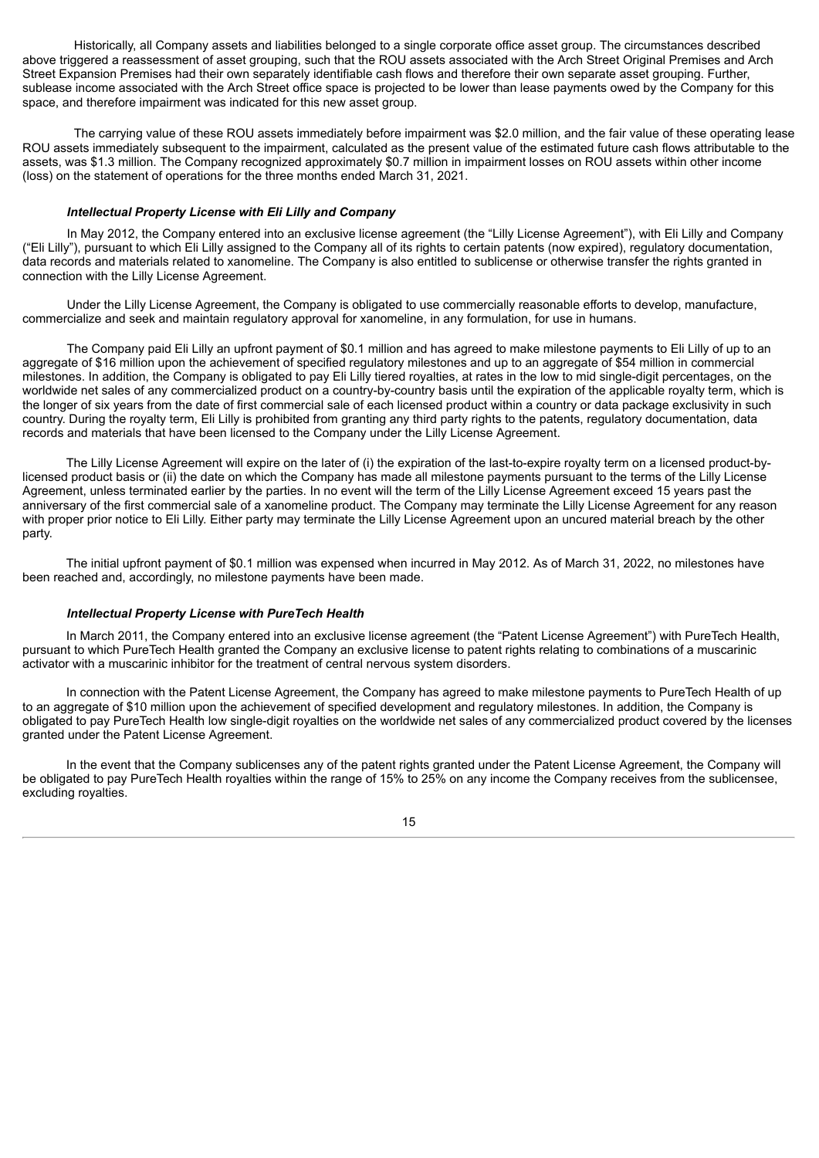Historically, all Company assets and liabilities belonged to a single corporate office asset group. The circumstances described above triggered a reassessment of asset grouping, such that the ROU assets associated with the Arch Street Original Premises and Arch Street Expansion Premises had their own separately identifiable cash flows and therefore their own separate asset grouping. Further, sublease income associated with the Arch Street office space is projected to be lower than lease payments owed by the Company for this space, and therefore impairment was indicated for this new asset group.

The carrying value of these ROU assets immediately before impairment was \$2.0 million, and the fair value of these operating lease ROU assets immediately subsequent to the impairment, calculated as the present value of the estimated future cash flows attributable to the assets, was \$1.3 million. The Company recognized approximately \$0.7 million in impairment losses on ROU assets within other income (loss) on the statement of operations for the three months ended March 31, 2021.

#### *Intellectual Property License with Eli Lilly and Company*

In May 2012, the Company entered into an exclusive license agreement (the "Lilly License Agreement"), with Eli Lilly and Company ("Eli Lilly"), pursuant to which Eli Lilly assigned to the Company all of its rights to certain patents (now expired), regulatory documentation, data records and materials related to xanomeline. The Company is also entitled to sublicense or otherwise transfer the rights granted in connection with the Lilly License Agreement.

Under the Lilly License Agreement, the Company is obligated to use commercially reasonable efforts to develop, manufacture, commercialize and seek and maintain regulatory approval for xanomeline, in any formulation, for use in humans.

The Company paid Eli Lilly an upfront payment of \$0.1 million and has agreed to make milestone payments to Eli Lilly of up to an aggregate of \$16 million upon the achievement of specified regulatory milestones and up to an aggregate of \$54 million in commercial milestones. In addition, the Company is obligated to pay Eli Lilly tiered royalties, at rates in the low to mid single-digit percentages, on the worldwide net sales of any commercialized product on a country-by-country basis until the expiration of the applicable royalty term, which is the longer of six years from the date of first commercial sale of each licensed product within a country or data package exclusivity in such country. During the royalty term, Eli Lilly is prohibited from granting any third party rights to the patents, regulatory documentation, data records and materials that have been licensed to the Company under the Lilly License Agreement.

The Lilly License Agreement will expire on the later of (i) the expiration of the last-to-expire royalty term on a licensed product-bylicensed product basis or (ii) the date on which the Company has made all milestone payments pursuant to the terms of the Lilly License Agreement, unless terminated earlier by the parties. In no event will the term of the Lilly License Agreement exceed 15 years past the anniversary of the first commercial sale of a xanomeline product. The Company may terminate the Lilly License Agreement for any reason with proper prior notice to Eli Lilly. Either party may terminate the Lilly License Agreement upon an uncured material breach by the other party.

The initial upfront payment of \$0.1 million was expensed when incurred in May 2012. As of March 31, 2022, no milestones have been reached and, accordingly, no milestone payments have been made.

#### *Intellectual Property License with PureTech Health*

In March 2011, the Company entered into an exclusive license agreement (the "Patent License Agreement") with PureTech Health, pursuant to which PureTech Health granted the Company an exclusive license to patent rights relating to combinations of a muscarinic activator with a muscarinic inhibitor for the treatment of central nervous system disorders.

In connection with the Patent License Agreement, the Company has agreed to make milestone payments to PureTech Health of up to an aggregate of \$10 million upon the achievement of specified development and regulatory milestones. In addition, the Company is obligated to pay PureTech Health low single-digit royalties on the worldwide net sales of any commercialized product covered by the licenses granted under the Patent License Agreement.

In the event that the Company sublicenses any of the patent rights granted under the Patent License Agreement, the Company will be obligated to pay PureTech Health royalties within the range of 15% to 25% on any income the Company receives from the sublicensee, excluding royalties.

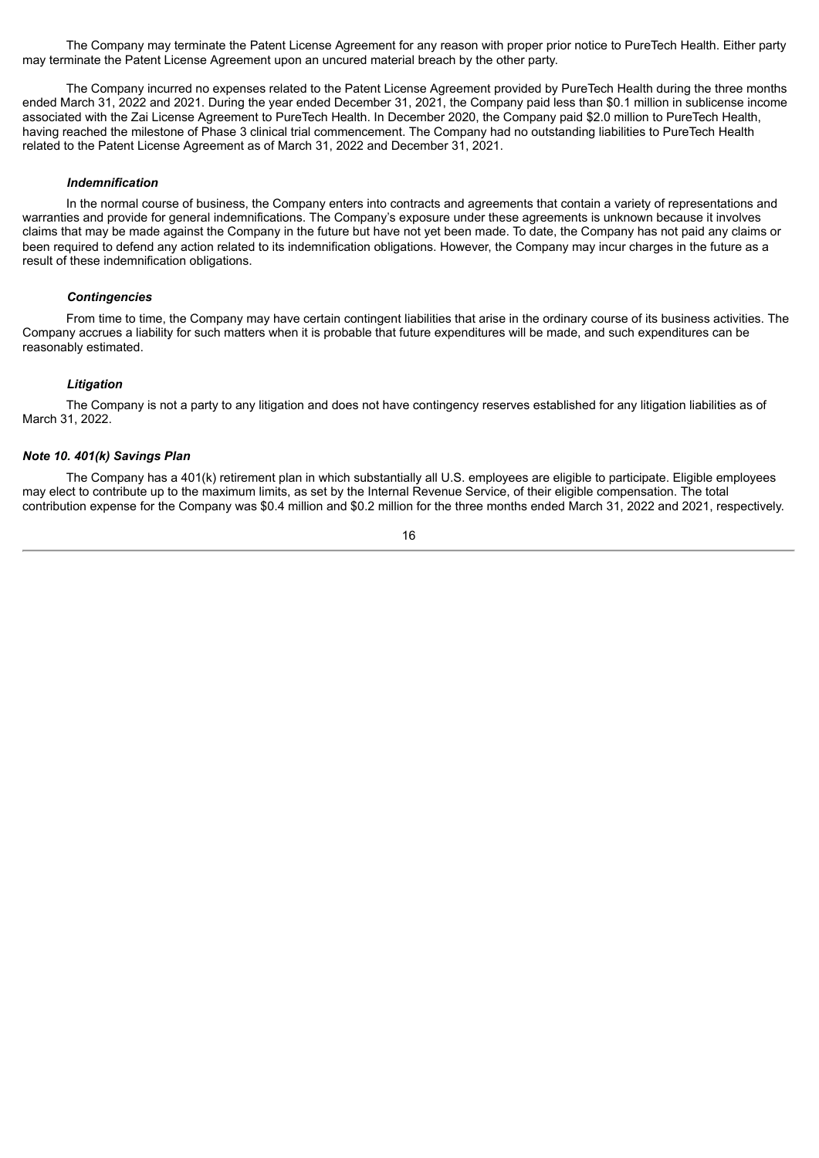The Company may terminate the Patent License Agreement for any reason with proper prior notice to PureTech Health. Either party may terminate the Patent License Agreement upon an uncured material breach by the other party.

The Company incurred no expenses related to the Patent License Agreement provided by PureTech Health during the three months ended March 31, 2022 and 2021. During the year ended December 31, 2021, the Company paid less than \$0.1 million in sublicense income associated with the Zai License Agreement to PureTech Health. In December 2020, the Company paid \$2.0 million to PureTech Health, having reached the milestone of Phase 3 clinical trial commencement. The Company had no outstanding liabilities to PureTech Health related to the Patent License Agreement as of March 31, 2022 and December 31, 2021.

#### *Indemnification*

In the normal course of business, the Company enters into contracts and agreements that contain a variety of representations and warranties and provide for general indemnifications. The Company's exposure under these agreements is unknown because it involves claims that may be made against the Company in the future but have not yet been made. To date, the Company has not paid any claims or been required to defend any action related to its indemnification obligations. However, the Company may incur charges in the future as a result of these indemnification obligations.

#### *Contingencies*

From time to time, the Company may have certain contingent liabilities that arise in the ordinary course of its business activities. The Company accrues a liability for such matters when it is probable that future expenditures will be made, and such expenditures can be reasonably estimated.

## *Litigation*

The Company is not a party to any litigation and does not have contingency reserves established for any litigation liabilities as of March 31, 2022.

#### *Note 10. 401(k) Savings Plan*

The Company has a 401(k) retirement plan in which substantially all U.S. employees are eligible to participate. Eligible employees may elect to contribute up to the maximum limits, as set by the Internal Revenue Service, of their eligible compensation. The total contribution expense for the Company was \$0.4 million and \$0.2 million for the three months ended March 31, 2022 and 2021, respectively.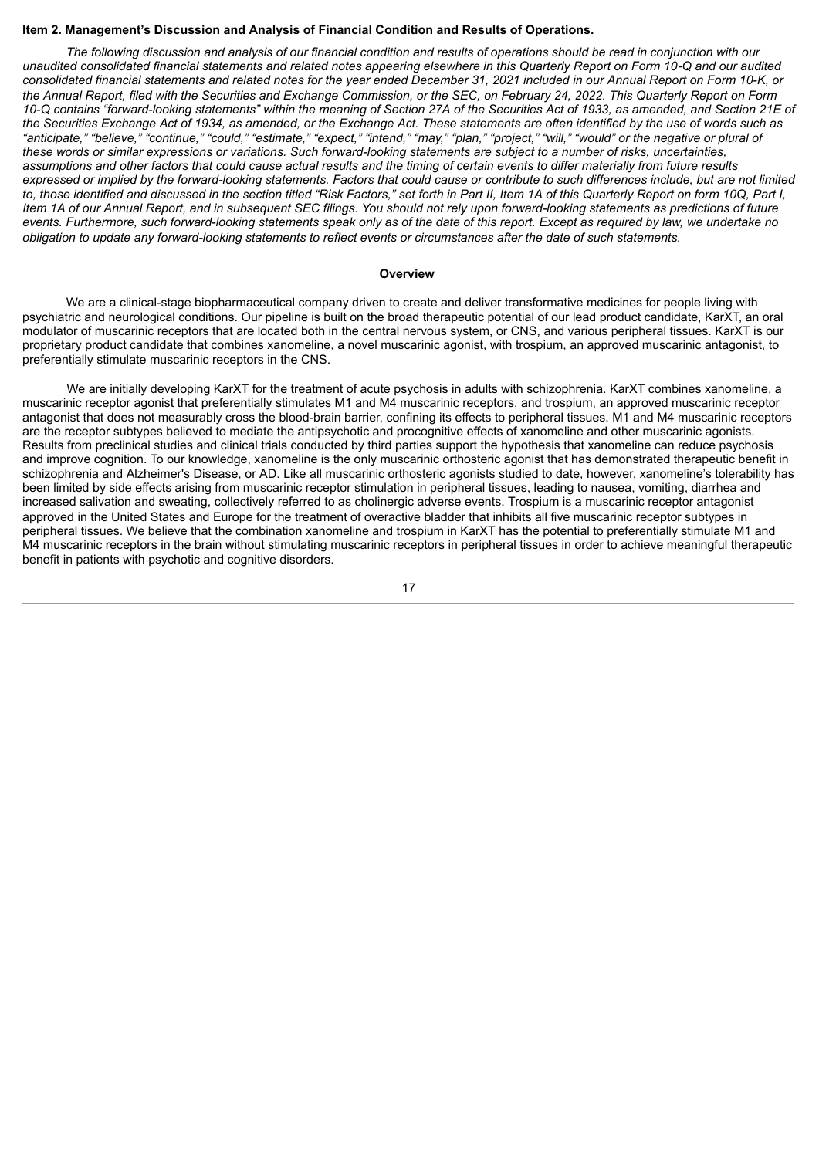#### <span id="page-18-0"></span>**Item 2. Management's Discussion and Analysis of Financial Condition and Results of Operations.**

The following discussion and analysis of our financial condition and results of operations should be read in conjunction with our unaudited consolidated financial statements and related notes appearing elsewhere in this Quarterly Report on Form 10-Q and our audited consolidated financial statements and related notes for the year ended December 31, 2021 included in our Annual Report on Form 10-K, or the Annual Report, filed with the Securities and Exchange Commission, or the SEC, on February 24, 2022. This Quarterly Report on Form 10-Q contains "forward-looking statements" within the meaning of Section 27A of the Securities Act of 1933, as amended, and Section 21E of the Securities Exchange Act of 1934, as amended, or the Exchange Act. These statements are often identified by the use of words such as "anticipate," "believe," "continue," "could," "estimate," "expect," "intend," "may," "plan," "project," "will," "would" or the negative or plural of these words or similar expressions or variations. Such forward-looking statements are subject to a number of risks, uncertainties, assumptions and other factors that could cause actual results and the timing of certain events to differ materially from future results expressed or implied by the forward-looking statements. Factors that could cause or contribute to such differences include, but are not limited to, those identified and discussed in the section titled "Risk Factors," set forth in Part II, Item 1A of this Quarterly Report on form 10Q, Part I, Item 1A of our Annual Report, and in subsequent SEC filings. You should not rely upon forward-looking statements as predictions of future events. Furthermore, such forward-looking statements speak only as of the date of this report. Except as required by law, we undertake no obligation to update any forward-looking statements to reflect events or circumstances after the date of such statements.

#### **Overview**

We are a clinical-stage biopharmaceutical company driven to create and deliver transformative medicines for people living with psychiatric and neurological conditions. Our pipeline is built on the broad therapeutic potential of our lead product candidate, KarXT, an oral modulator of muscarinic receptors that are located both in the central nervous system, or CNS, and various peripheral tissues. KarXT is our proprietary product candidate that combines xanomeline, a novel muscarinic agonist, with trospium, an approved muscarinic antagonist, to preferentially stimulate muscarinic receptors in the CNS.

We are initially developing KarXT for the treatment of acute psychosis in adults with schizophrenia. KarXT combines xanomeline, a muscarinic receptor agonist that preferentially stimulates M1 and M4 muscarinic receptors, and trospium, an approved muscarinic receptor antagonist that does not measurably cross the blood-brain barrier, confining its effects to peripheral tissues. M1 and M4 muscarinic receptors are the receptor subtypes believed to mediate the antipsychotic and procognitive effects of xanomeline and other muscarinic agonists. Results from preclinical studies and clinical trials conducted by third parties support the hypothesis that xanomeline can reduce psychosis and improve cognition. To our knowledge, xanomeline is the only muscarinic orthosteric agonist that has demonstrated therapeutic benefit in schizophrenia and Alzheimer's Disease, or AD. Like all muscarinic orthosteric agonists studied to date, however, xanomeline's tolerability has been limited by side effects arising from muscarinic receptor stimulation in peripheral tissues, leading to nausea, vomiting, diarrhea and increased salivation and sweating, collectively referred to as cholinergic adverse events. Trospium is a muscarinic receptor antagonist approved in the United States and Europe for the treatment of overactive bladder that inhibits all five muscarinic receptor subtypes in peripheral tissues. We believe that the combination xanomeline and trospium in KarXT has the potential to preferentially stimulate M1 and M4 muscarinic receptors in the brain without stimulating muscarinic receptors in peripheral tissues in order to achieve meaningful therapeutic benefit in patients with psychotic and cognitive disorders.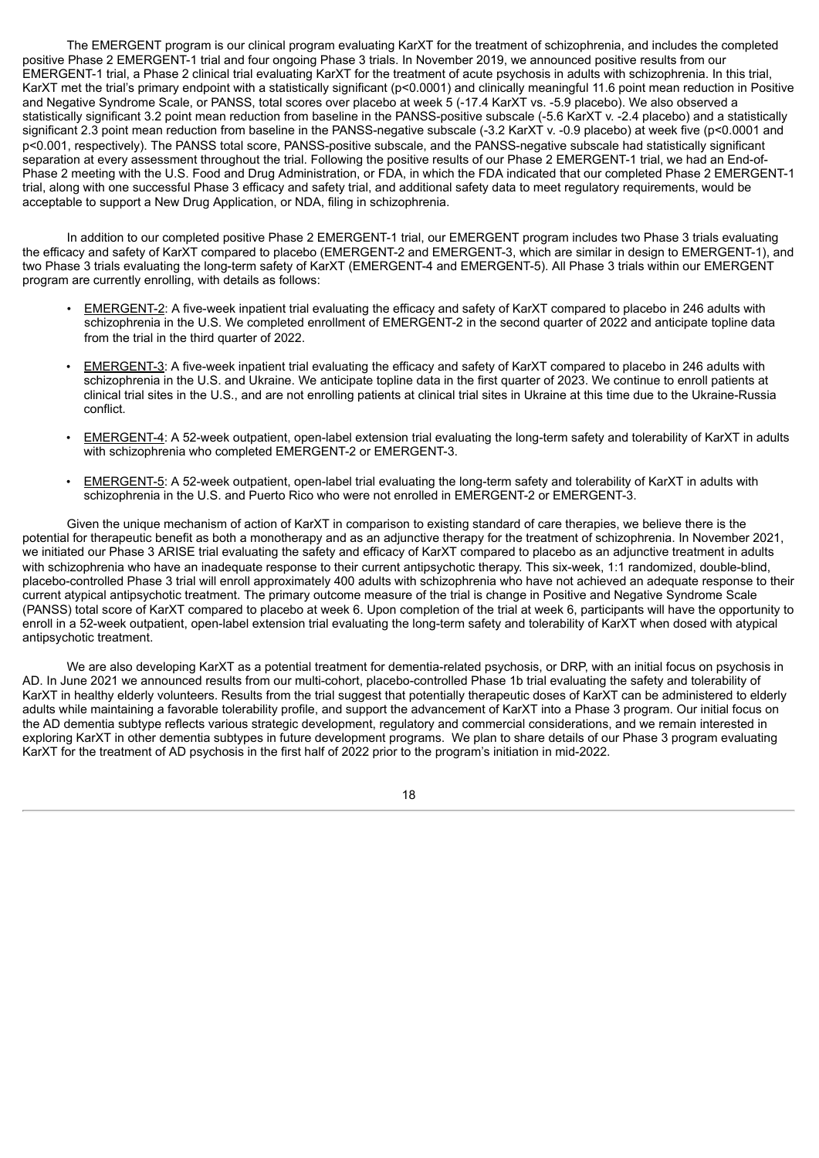The EMERGENT program is our clinical program evaluating KarXT for the treatment of schizophrenia, and includes the completed positive Phase 2 EMERGENT-1 trial and four ongoing Phase 3 trials. In November 2019, we announced positive results from our EMERGENT-1 trial, a Phase 2 clinical trial evaluating KarXT for the treatment of acute psychosis in adults with schizophrenia. In this trial, KarXT met the trial's primary endpoint with a statistically significant (p<0.0001) and clinically meaningful 11.6 point mean reduction in Positive and Negative Syndrome Scale, or PANSS, total scores over placebo at week 5 (-17.4 KarXT vs. -5.9 placebo). We also observed a statistically significant 3.2 point mean reduction from baseline in the PANSS-positive subscale (-5.6 KarXT v. -2.4 placebo) and a statistically significant 2.3 point mean reduction from baseline in the PANSS-negative subscale (-3.2 KarXT v. -0.9 placebo) at week five (p<0.0001 and p<0.001, respectively). The PANSS total score, PANSS-positive subscale, and the PANSS-negative subscale had statistically significant separation at every assessment throughout the trial. Following the positive results of our Phase 2 EMERGENT-1 trial, we had an End-of-Phase 2 meeting with the U.S. Food and Drug Administration, or FDA, in which the FDA indicated that our completed Phase 2 EMERGENT-1 trial, along with one successful Phase 3 efficacy and safety trial, and additional safety data to meet regulatory requirements, would be acceptable to support a New Drug Application, or NDA, filing in schizophrenia.

In addition to our completed positive Phase 2 EMERGENT-1 trial, our EMERGENT program includes two Phase 3 trials evaluating the efficacy and safety of KarXT compared to placebo (EMERGENT-2 and EMERGENT-3, which are similar in design to EMERGENT-1), and two Phase 3 trials evaluating the long-term safety of KarXT (EMERGENT-4 and EMERGENT-5). All Phase 3 trials within our EMERGENT program are currently enrolling, with details as follows:

- EMERGENT-2: A five-week inpatient trial evaluating the efficacy and safety of KarXT compared to placebo in 246 adults with schizophrenia in the U.S. We completed enrollment of EMERGENT-2 in the second quarter of 2022 and anticipate topline data from the trial in the third quarter of 2022.
- EMERGENT-3: A five-week inpatient trial evaluating the efficacy and safety of KarXT compared to placebo in 246 adults with schizophrenia in the U.S. and Ukraine. We anticipate topline data in the first quarter of 2023. We continue to enroll patients at clinical trial sites in the U.S., and are not enrolling patients at clinical trial sites in Ukraine at this time due to the Ukraine-Russia conflict.
- EMERGENT-4: A 52-week outpatient, open-label extension trial evaluating the long-term safety and tolerability of KarXT in adults with schizophrenia who completed EMERGENT-2 or EMERGENT-3.
- EMERGENT-5: A 52-week outpatient, open-label trial evaluating the long-term safety and tolerability of KarXT in adults with schizophrenia in the U.S. and Puerto Rico who were not enrolled in EMERGENT-2 or EMERGENT-3.

Given the unique mechanism of action of KarXT in comparison to existing standard of care therapies, we believe there is the potential for therapeutic benefit as both a monotherapy and as an adjunctive therapy for the treatment of schizophrenia. In November 2021, we initiated our Phase 3 ARISE trial evaluating the safety and efficacy of KarXT compared to placebo as an adjunctive treatment in adults with schizophrenia who have an inadequate response to their current antipsychotic therapy. This six-week, 1:1 randomized, double-blind, placebo-controlled Phase 3 trial will enroll approximately 400 adults with schizophrenia who have not achieved an adequate response to their current atypical antipsychotic treatment. The primary outcome measure of the trial is change in Positive and Negative Syndrome Scale (PANSS) total score of KarXT compared to placebo at week 6. Upon completion of the trial at week 6, participants will have the opportunity to enroll in a 52-week outpatient, open-label extension trial evaluating the long-term safety and tolerability of KarXT when dosed with atypical antipsychotic treatment.

We are also developing KarXT as a potential treatment for dementia-related psychosis, or DRP, with an initial focus on psychosis in AD. In June 2021 we announced results from our multi-cohort, placebo-controlled Phase 1b trial evaluating the safety and tolerability of KarXT in healthy elderly volunteers. Results from the trial suggest that potentially therapeutic doses of KarXT can be administered to elderly adults while maintaining a favorable tolerability profile, and support the advancement of KarXT into a Phase 3 program. Our initial focus on the AD dementia subtype reflects various strategic development, regulatory and commercial considerations, and we remain interested in exploring KarXT in other dementia subtypes in future development programs. We plan to share details of our Phase 3 program evaluating KarXT for the treatment of AD psychosis in the first half of 2022 prior to the program's initiation in mid-2022.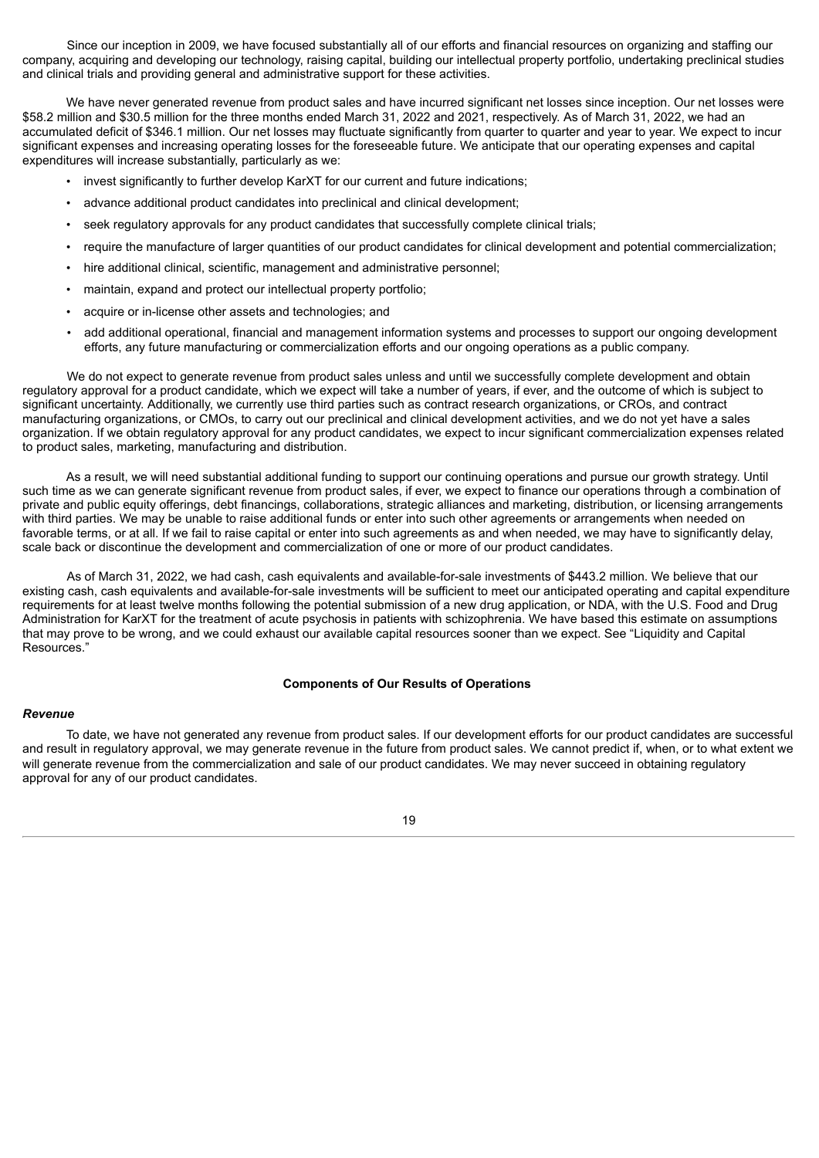Since our inception in 2009, we have focused substantially all of our efforts and financial resources on organizing and staffing our company, acquiring and developing our technology, raising capital, building our intellectual property portfolio, undertaking preclinical studies and clinical trials and providing general and administrative support for these activities.

We have never generated revenue from product sales and have incurred significant net losses since inception. Our net losses were \$58.2 million and \$30.5 million for the three months ended March 31, 2022 and 2021, respectively. As of March 31, 2022, we had an accumulated deficit of \$346.1 million. Our net losses may fluctuate significantly from quarter to quarter and year to year. We expect to incur significant expenses and increasing operating losses for the foreseeable future. We anticipate that our operating expenses and capital expenditures will increase substantially, particularly as we:

- invest significantly to further develop KarXT for our current and future indications;
- advance additional product candidates into preclinical and clinical development;
- seek regulatory approvals for any product candidates that successfully complete clinical trials;
- require the manufacture of larger quantities of our product candidates for clinical development and potential commercialization;
- hire additional clinical, scientific, management and administrative personnel;
- maintain, expand and protect our intellectual property portfolio;
- acquire or in-license other assets and technologies; and
- add additional operational, financial and management information systems and processes to support our ongoing development efforts, any future manufacturing or commercialization efforts and our ongoing operations as a public company.

We do not expect to generate revenue from product sales unless and until we successfully complete development and obtain regulatory approval for a product candidate, which we expect will take a number of years, if ever, and the outcome of which is subject to significant uncertainty. Additionally, we currently use third parties such as contract research organizations, or CROs, and contract manufacturing organizations, or CMOs, to carry out our preclinical and clinical development activities, and we do not yet have a sales organization. If we obtain regulatory approval for any product candidates, we expect to incur significant commercialization expenses related to product sales, marketing, manufacturing and distribution.

As a result, we will need substantial additional funding to support our continuing operations and pursue our growth strategy. Until such time as we can generate significant revenue from product sales, if ever, we expect to finance our operations through a combination of private and public equity offerings, debt financings, collaborations, strategic alliances and marketing, distribution, or licensing arrangements with third parties. We may be unable to raise additional funds or enter into such other agreements or arrangements when needed on favorable terms, or at all. If we fail to raise capital or enter into such agreements as and when needed, we may have to significantly delay, scale back or discontinue the development and commercialization of one or more of our product candidates.

As of March 31, 2022, we had cash, cash equivalents and available-for-sale investments of \$443.2 million. We believe that our existing cash, cash equivalents and available-for-sale investments will be sufficient to meet our anticipated operating and capital expenditure requirements for at least twelve months following the potential submission of a new drug application, or NDA, with the U.S. Food and Drug Administration for KarXT for the treatment of acute psychosis in patients with schizophrenia. We have based this estimate on assumptions that may prove to be wrong, and we could exhaust our available capital resources sooner than we expect. See "Liquidity and Capital Resources."

#### **Components of Our Results of Operations**

#### *Revenue*

To date, we have not generated any revenue from product sales. If our development efforts for our product candidates are successful and result in regulatory approval, we may generate revenue in the future from product sales. We cannot predict if, when, or to what extent we will generate revenue from the commercialization and sale of our product candidates. We may never succeed in obtaining regulatory approval for any of our product candidates.

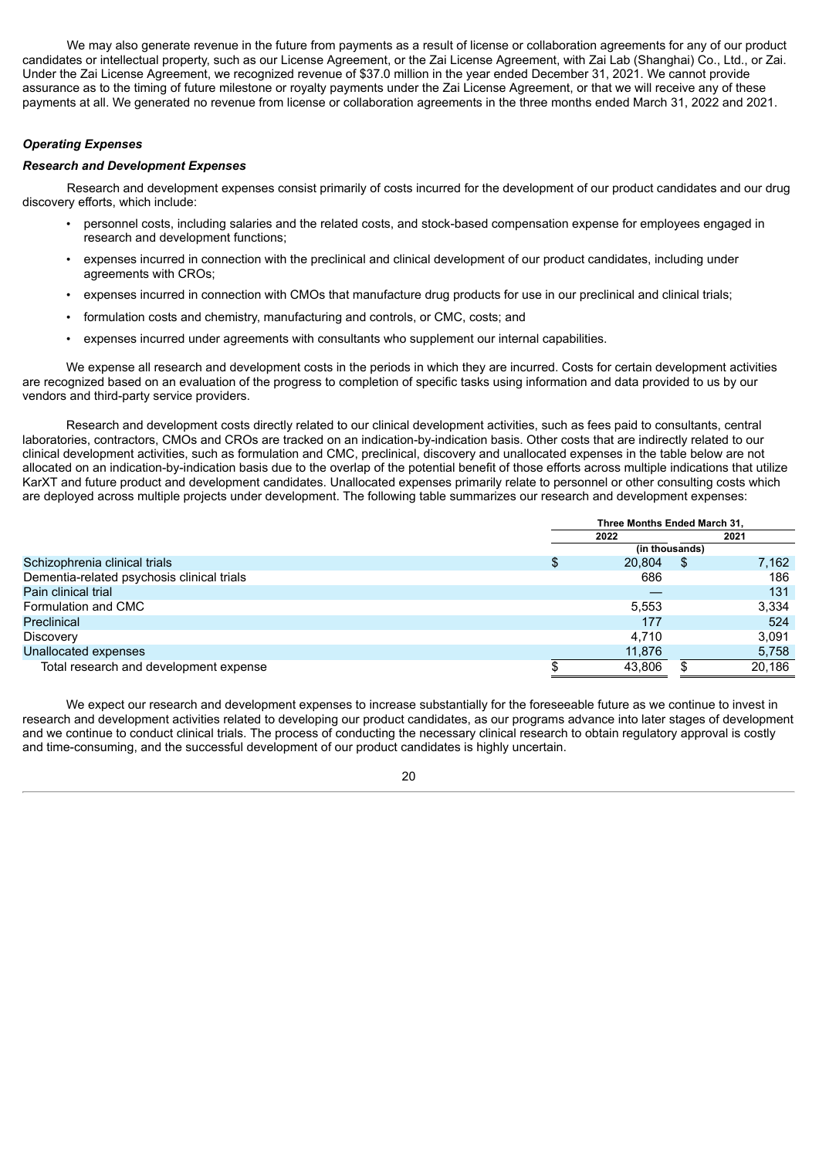We may also generate revenue in the future from payments as a result of license or collaboration agreements for any of our product candidates or intellectual property, such as our License Agreement, or the Zai License Agreement, with Zai Lab (Shanghai) Co., Ltd., or Zai. Under the Zai License Agreement, we recognized revenue of \$37.0 million in the year ended December 31, 2021. We cannot provide assurance as to the timing of future milestone or royalty payments under the Zai License Agreement, or that we will receive any of these payments at all. We generated no revenue from license or collaboration agreements in the three months ended March 31, 2022 and 2021.

## *Operating Expenses*

## *Research and Development Expenses*

Research and development expenses consist primarily of costs incurred for the development of our product candidates and our drug discovery efforts, which include:

- personnel costs, including salaries and the related costs, and stock-based compensation expense for employees engaged in research and development functions;
- expenses incurred in connection with the preclinical and clinical development of our product candidates, including under agreements with CROs;
- expenses incurred in connection with CMOs that manufacture drug products for use in our preclinical and clinical trials;
- formulation costs and chemistry, manufacturing and controls, or CMC, costs; and
- expenses incurred under agreements with consultants who supplement our internal capabilities.

We expense all research and development costs in the periods in which they are incurred. Costs for certain development activities are recognized based on an evaluation of the progress to completion of specific tasks using information and data provided to us by our vendors and third-party service providers.

Research and development costs directly related to our clinical development activities, such as fees paid to consultants, central laboratories, contractors, CMOs and CROs are tracked on an indication-by-indication basis. Other costs that are indirectly related to our clinical development activities, such as formulation and CMC, preclinical, discovery and unallocated expenses in the table below are not allocated on an indication-by-indication basis due to the overlap of the potential benefit of those efforts across multiple indications that utilize KarXT and future product and development candidates. Unallocated expenses primarily relate to personnel or other consulting costs which are deployed across multiple projects under development. The following table summarizes our research and development expenses:

|                                            | Three Months Ended March 31. |    |        |  |  |
|--------------------------------------------|------------------------------|----|--------|--|--|
|                                            | 2022                         |    | 2021   |  |  |
|                                            | (in thousands)               |    |        |  |  |
| Schizophrenia clinical trials              | \$<br>20,804                 | \$ | 7,162  |  |  |
| Dementia-related psychosis clinical trials | 686                          |    | 186    |  |  |
| Pain clinical trial                        |                              |    | 131    |  |  |
| Formulation and CMC                        | 5.553                        |    | 3,334  |  |  |
| <b>Preclinical</b>                         | 177                          |    | 524    |  |  |
| Discovery                                  | 4.710                        |    | 3.091  |  |  |
| Unallocated expenses                       | 11,876                       |    | 5,758  |  |  |
| Total research and development expense     | 43.806                       |    | 20.186 |  |  |

We expect our research and development expenses to increase substantially for the foreseeable future as we continue to invest in research and development activities related to developing our product candidates, as our programs advance into later stages of development and we continue to conduct clinical trials. The process of conducting the necessary clinical research to obtain regulatory approval is costly and time-consuming, and the successful development of our product candidates is highly uncertain.

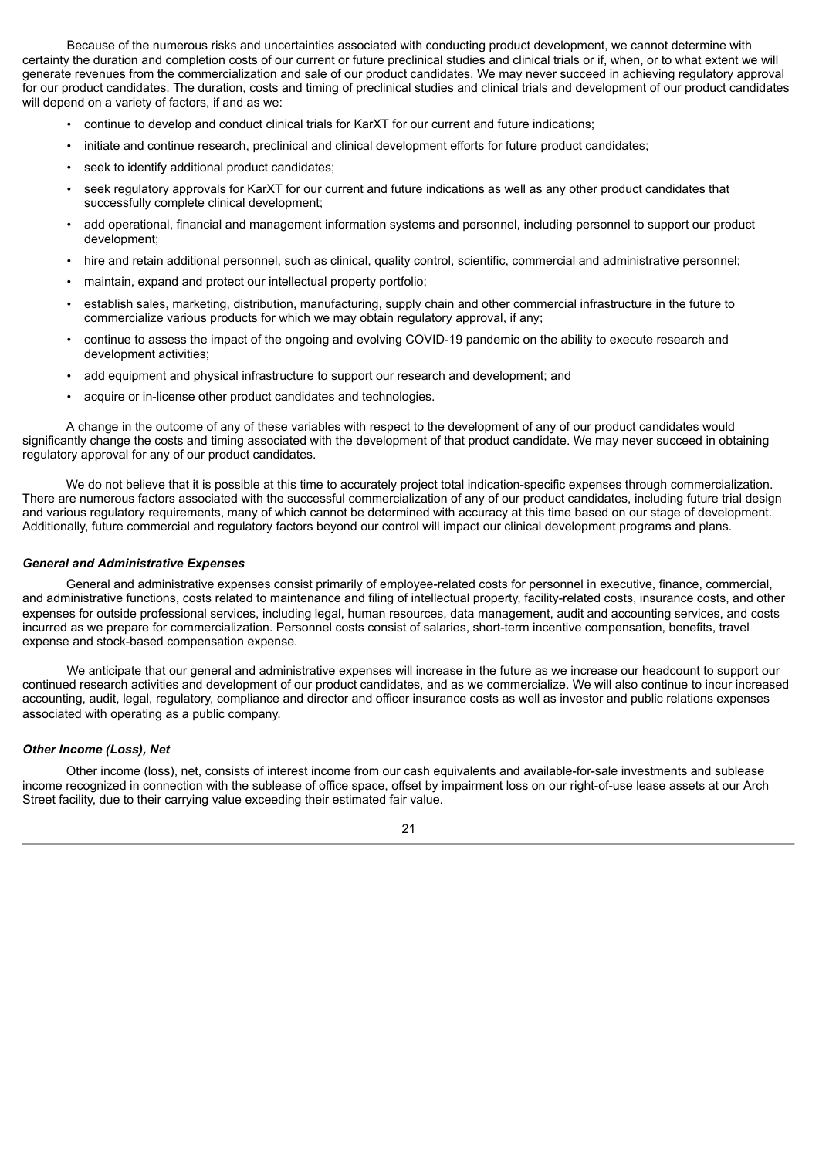Because of the numerous risks and uncertainties associated with conducting product development, we cannot determine with certainty the duration and completion costs of our current or future preclinical studies and clinical trials or if, when, or to what extent we will generate revenues from the commercialization and sale of our product candidates. We may never succeed in achieving regulatory approval for our product candidates. The duration, costs and timing of preclinical studies and clinical trials and development of our product candidates will depend on a variety of factors, if and as we:

- continue to develop and conduct clinical trials for KarXT for our current and future indications;
- initiate and continue research, preclinical and clinical development efforts for future product candidates;
- seek to identify additional product candidates;
- seek regulatory approvals for KarXT for our current and future indications as well as any other product candidates that successfully complete clinical development;
- add operational, financial and management information systems and personnel, including personnel to support our product development;
- hire and retain additional personnel, such as clinical, quality control, scientific, commercial and administrative personnel;
- maintain, expand and protect our intellectual property portfolio;
- establish sales, marketing, distribution, manufacturing, supply chain and other commercial infrastructure in the future to commercialize various products for which we may obtain regulatory approval, if any;
- continue to assess the impact of the ongoing and evolving COVID-19 pandemic on the ability to execute research and development activities;
- add equipment and physical infrastructure to support our research and development; and
- acquire or in-license other product candidates and technologies.

A change in the outcome of any of these variables with respect to the development of any of our product candidates would significantly change the costs and timing associated with the development of that product candidate. We may never succeed in obtaining regulatory approval for any of our product candidates.

We do not believe that it is possible at this time to accurately project total indication-specific expenses through commercialization. There are numerous factors associated with the successful commercialization of any of our product candidates, including future trial design and various regulatory requirements, many of which cannot be determined with accuracy at this time based on our stage of development. Additionally, future commercial and regulatory factors beyond our control will impact our clinical development programs and plans.

#### *General and Administrative Expenses*

General and administrative expenses consist primarily of employee-related costs for personnel in executive, finance, commercial, and administrative functions, costs related to maintenance and filing of intellectual property, facility-related costs, insurance costs, and other expenses for outside professional services, including legal, human resources, data management, audit and accounting services, and costs incurred as we prepare for commercialization. Personnel costs consist of salaries, short-term incentive compensation, benefits, travel expense and stock-based compensation expense.

We anticipate that our general and administrative expenses will increase in the future as we increase our headcount to support our continued research activities and development of our product candidates, and as we commercialize. We will also continue to incur increased accounting, audit, legal, regulatory, compliance and director and officer insurance costs as well as investor and public relations expenses associated with operating as a public company.

#### *Other Income (Loss), Net*

Other income (loss), net, consists of interest income from our cash equivalents and available-for-sale investments and sublease income recognized in connection with the sublease of office space, offset by impairment loss on our right-of-use lease assets at our Arch Street facility, due to their carrying value exceeding their estimated fair value.

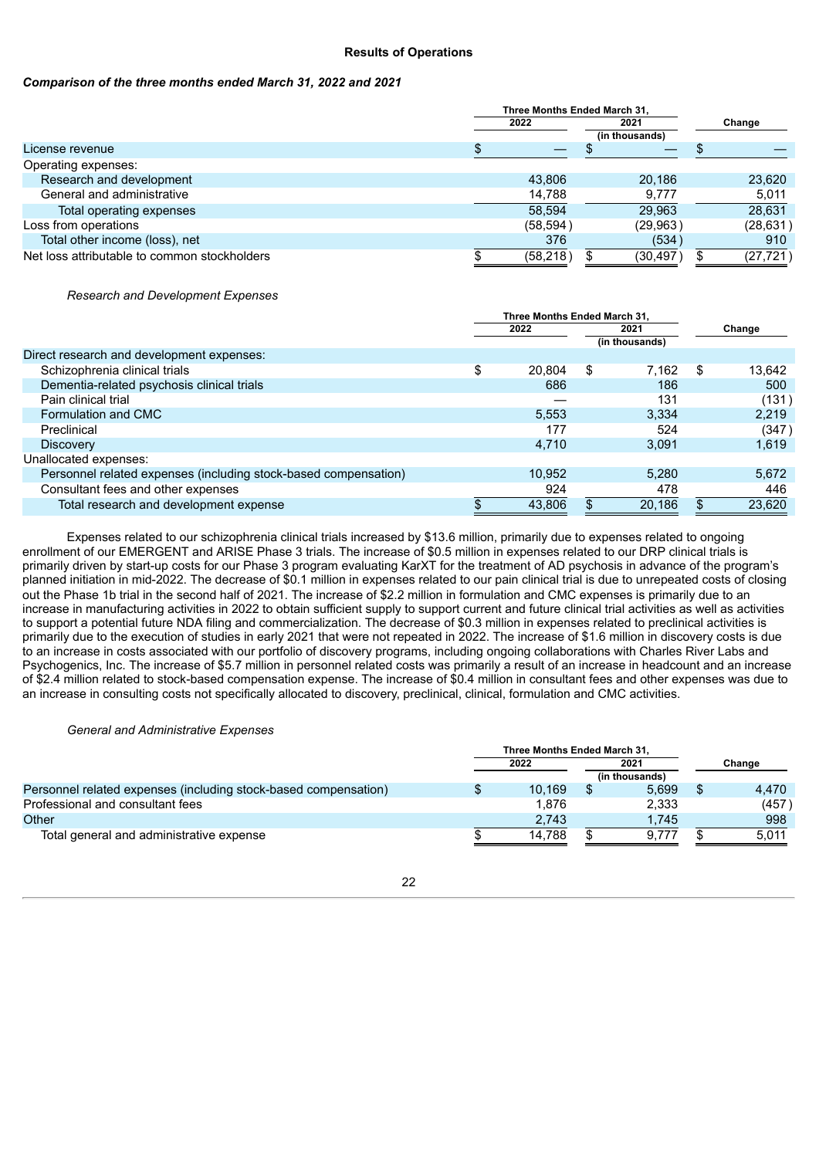## **Results of Operations**

## *Comparison of the three months ended March 31, 2022 and 2021*

|                                              | Three Months Ended March 31. |                |  |           |
|----------------------------------------------|------------------------------|----------------|--|-----------|
|                                              | 2022                         | 2021           |  | Change    |
|                                              |                              | (in thousands) |  |           |
| License revenue                              |                              |                |  |           |
| Operating expenses:                          |                              |                |  |           |
| Research and development                     | 43,806                       | 20,186         |  | 23,620    |
| General and administrative                   | 14,788                       | 9,777          |  | 5,011     |
| Total operating expenses                     | 58.594                       | 29.963         |  | 28,631    |
| Loss from operations                         | (58, 594)                    | (29,963)       |  | (28, 631) |
| Total other income (loss), net               | 376                          | (534)          |  | 910       |
| Net loss attributable to common stockholders | (58, 218)                    | (30, 497)      |  | (27, 721) |

*Research and Development Expenses*

|                                                                 | Three Months Ended March 31, |        |      |                |        |        |
|-----------------------------------------------------------------|------------------------------|--------|------|----------------|--------|--------|
|                                                                 | 2022                         |        | 2021 |                | Change |        |
|                                                                 |                              |        |      | (in thousands) |        |        |
| Direct research and development expenses:                       |                              |        |      |                |        |        |
| Schizophrenia clinical trials                                   | \$                           | 20.804 | S    | 7,162          | \$     | 13,642 |
| Dementia-related psychosis clinical trials                      |                              | 686    |      | 186            |        | 500    |
| Pain clinical trial                                             |                              |        |      | 131            |        | (131)  |
| Formulation and CMC                                             |                              | 5.553  |      | 3,334          |        | 2,219  |
| Preclinical                                                     |                              | 177    |      | 524            |        | (347)  |
| <b>Discovery</b>                                                |                              | 4.710  |      | 3.091          |        | 1,619  |
| Unallocated expenses:                                           |                              |        |      |                |        |        |
| Personnel related expenses (including stock-based compensation) |                              | 10,952 |      | 5.280          |        | 5,672  |
| Consultant fees and other expenses                              |                              | 924    |      | 478            |        | 446    |
| Total research and development expense                          |                              | 43,806 |      | 20,186         |        | 23,620 |

Expenses related to our schizophrenia clinical trials increased by \$13.6 million, primarily due to expenses related to ongoing enrollment of our EMERGENT and ARISE Phase 3 trials. The increase of \$0.5 million in expenses related to our DRP clinical trials is primarily driven by start-up costs for our Phase 3 program evaluating KarXT for the treatment of AD psychosis in advance of the program's planned initiation in mid-2022. The decrease of \$0.1 million in expenses related to our pain clinical trial is due to unrepeated costs of closing out the Phase 1b trial in the second half of 2021. The increase of \$2.2 million in formulation and CMC expenses is primarily due to an increase in manufacturing activities in 2022 to obtain sufficient supply to support current and future clinical trial activities as well as activities to support a potential future NDA filing and commercialization. The decrease of \$0.3 million in expenses related to preclinical activities is primarily due to the execution of studies in early 2021 that were not repeated in 2022. The increase of \$1.6 million in discovery costs is due to an increase in costs associated with our portfolio of discovery programs, including ongoing collaborations with Charles River Labs and Psychogenics, Inc. The increase of \$5.7 million in personnel related costs was primarily a result of an increase in headcount and an increase of \$2.4 million related to stock-based compensation expense. The increase of \$0.4 million in consultant fees and other expenses was due to an increase in consulting costs not specifically allocated to discovery, preclinical, clinical, formulation and CMC activities.

## *General and Administrative Expenses*

|                                                                 | Three Months Ended March 31. |        |      |                |        |
|-----------------------------------------------------------------|------------------------------|--------|------|----------------|--------|
|                                                                 | 2022                         |        | 2021 |                | Change |
|                                                                 |                              |        |      | (in thousands) |        |
| Personnel related expenses (including stock-based compensation) |                              | 10.169 |      | 5.699          | 4,470  |
| Professional and consultant fees                                |                              | 1.876  |      | 2.333          | (457)  |
| Other                                                           |                              | 2.743  |      | 1.745          | 998    |
| Total general and administrative expense                        |                              | 14.788 |      | 9.777          | 5.011  |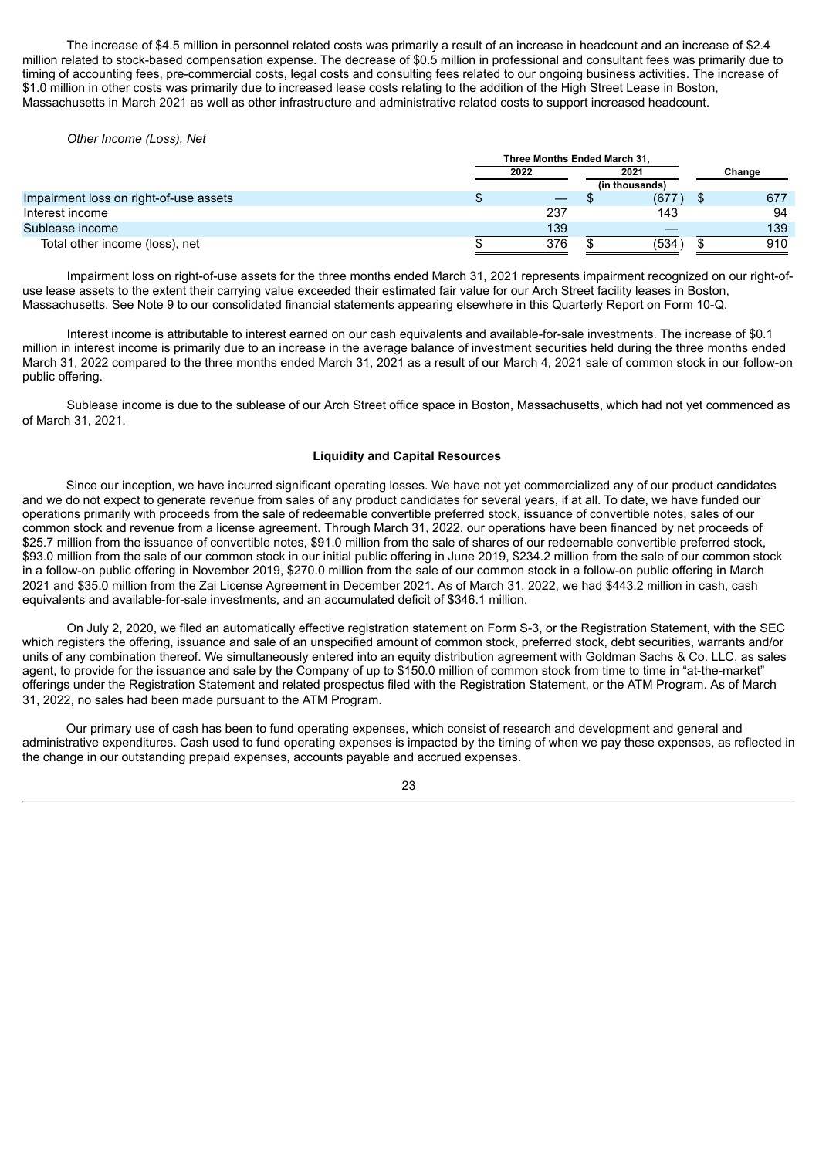The increase of \$4.5 million in personnel related costs was primarily a result of an increase in headcount and an increase of \$2.4 million related to stock-based compensation expense. The decrease of \$0.5 million in professional and consultant fees was primarily due to timing of accounting fees, pre-commercial costs, legal costs and consulting fees related to our ongoing business activities. The increase of \$1.0 million in other costs was primarily due to increased lease costs relating to the addition of the High Street Lease in Boston, Massachusetts in March 2021 as well as other infrastructure and administrative related costs to support increased headcount.

*Other Income (Loss), Net*

|                                        | Three Months Ended March 31, |      |  |                |  |        |
|----------------------------------------|------------------------------|------|--|----------------|--|--------|
|                                        |                              | 2022 |  | 2021           |  | Change |
|                                        |                              |      |  | (in thousands) |  |        |
| Impairment loss on right-of-use assets |                              | –    |  | (677)          |  | 677    |
| Interest income                        |                              | 237  |  | 143            |  | 94     |
| Sublease income                        |                              | 139  |  |                |  | 139    |
| Total other income (loss), net         |                              | 376  |  | 1534           |  | 910    |

Impairment loss on right-of-use assets for the three months ended March 31, 2021 represents impairment recognized on our right-ofuse lease assets to the extent their carrying value exceeded their estimated fair value for our Arch Street facility leases in Boston, Massachusetts. See Note 9 to our consolidated financial statements appearing elsewhere in this Quarterly Report on Form 10-Q.

Interest income is attributable to interest earned on our cash equivalents and available-for-sale investments. The increase of \$0.1 million in interest income is primarily due to an increase in the average balance of investment securities held during the three months ended March 31, 2022 compared to the three months ended March 31, 2021 as a result of our March 4, 2021 sale of common stock in our follow-on public offering.

Sublease income is due to the sublease of our Arch Street office space in Boston, Massachusetts, which had not yet commenced as of March 31, 2021.

#### **Liquidity and Capital Resources**

Since our inception, we have incurred significant operating losses. We have not yet commercialized any of our product candidates and we do not expect to generate revenue from sales of any product candidates for several years, if at all. To date, we have funded our operations primarily with proceeds from the sale of redeemable convertible preferred stock, issuance of convertible notes, sales of our common stock and revenue from a license agreement. Through March 31, 2022, our operations have been financed by net proceeds of \$25.7 million from the issuance of convertible notes, \$91.0 million from the sale of shares of our redeemable convertible preferred stock, \$93.0 million from the sale of our common stock in our initial public offering in June 2019, \$234.2 million from the sale of our common stock in a follow-on public offering in November 2019, \$270.0 million from the sale of our common stock in a follow-on public offering in March 2021 and \$35.0 million from the Zai License Agreement in December 2021. As of March 31, 2022, we had \$443.2 million in cash, cash equivalents and available-for-sale investments, and an accumulated deficit of \$346.1 million.

On July 2, 2020, we filed an automatically effective registration statement on Form S-3, or the Registration Statement, with the SEC which registers the offering, issuance and sale of an unspecified amount of common stock, preferred stock, debt securities, warrants and/or units of any combination thereof. We simultaneously entered into an equity distribution agreement with Goldman Sachs & Co. LLC, as sales agent, to provide for the issuance and sale by the Company of up to \$150.0 million of common stock from time to time in "at-the-market" offerings under the Registration Statement and related prospectus filed with the Registration Statement, or the ATM Program. As of March 31, 2022, no sales had been made pursuant to the ATM Program.

Our primary use of cash has been to fund operating expenses, which consist of research and development and general and administrative expenditures. Cash used to fund operating expenses is impacted by the timing of when we pay these expenses, as reflected in the change in our outstanding prepaid expenses, accounts payable and accrued expenses.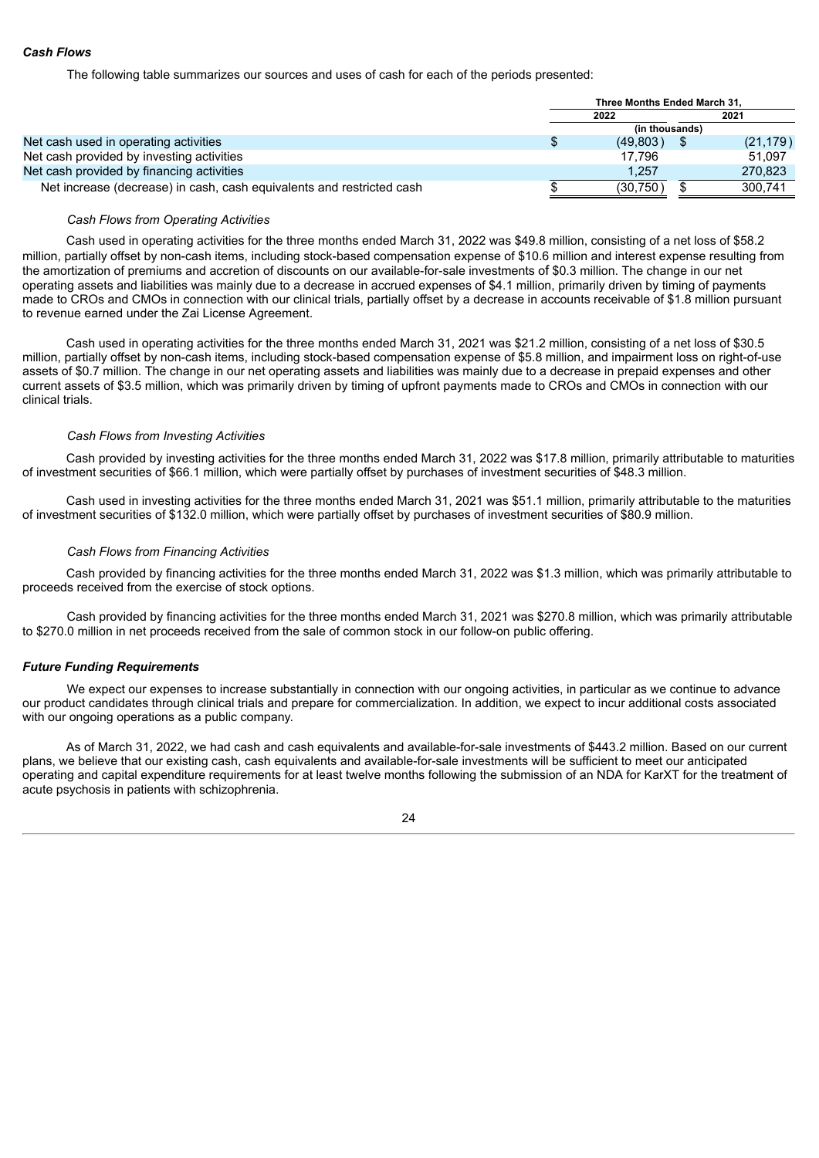## *Cash Flows*

The following table summarizes our sources and uses of cash for each of the periods presented:

|                                                                       | Three Months Ended March 31. |  |           |  |
|-----------------------------------------------------------------------|------------------------------|--|-----------|--|
|                                                                       | 2021<br>2022                 |  |           |  |
|                                                                       | (in thousands)               |  |           |  |
| Net cash used in operating activities                                 | (49,803)                     |  | (21, 179) |  |
| Net cash provided by investing activities                             | 17.796                       |  | 51.097    |  |
| Net cash provided by financing activities                             | 1.257                        |  | 270.823   |  |
| Net increase (decrease) in cash, cash equivalents and restricted cash | (30, 750)                    |  | 300.741   |  |

#### *Cash Flows from Operating Activities*

Cash used in operating activities for the three months ended March 31, 2022 was \$49.8 million, consisting of a net loss of \$58.2 million, partially offset by non-cash items, including stock-based compensation expense of \$10.6 million and interest expense resulting from the amortization of premiums and accretion of discounts on our available-for-sale investments of \$0.3 million. The change in our net operating assets and liabilities was mainly due to a decrease in accrued expenses of \$4.1 million, primarily driven by timing of payments made to CROs and CMOs in connection with our clinical trials, partially offset by a decrease in accounts receivable of \$1.8 million pursuant to revenue earned under the Zai License Agreement.

Cash used in operating activities for the three months ended March 31, 2021 was \$21.2 million, consisting of a net loss of \$30.5 million, partially offset by non-cash items, including stock-based compensation expense of \$5.8 million, and impairment loss on right-of-use assets of \$0.7 million. The change in our net operating assets and liabilities was mainly due to a decrease in prepaid expenses and other current assets of \$3.5 million, which was primarily driven by timing of upfront payments made to CROs and CMOs in connection with our clinical trials.

#### *Cash Flows from Investing Activities*

Cash provided by investing activities for the three months ended March 31, 2022 was \$17.8 million, primarily attributable to maturities of investment securities of \$66.1 million, which were partially offset by purchases of investment securities of \$48.3 million.

Cash used in investing activities for the three months ended March 31, 2021 was \$51.1 million, primarily attributable to the maturities of investment securities of \$132.0 million, which were partially offset by purchases of investment securities of \$80.9 million.

#### *Cash Flows from Financing Activities*

Cash provided by financing activities for the three months ended March 31, 2022 was \$1.3 million, which was primarily attributable to proceeds received from the exercise of stock options.

Cash provided by financing activities for the three months ended March 31, 2021 was \$270.8 million, which was primarily attributable to \$270.0 million in net proceeds received from the sale of common stock in our follow-on public offering.

#### *Future Funding Requirements*

We expect our expenses to increase substantially in connection with our ongoing activities, in particular as we continue to advance our product candidates through clinical trials and prepare for commercialization. In addition, we expect to incur additional costs associated with our ongoing operations as a public company.

As of March 31, 2022, we had cash and cash equivalents and available-for-sale investments of \$443.2 million. Based on our current plans, we believe that our existing cash, cash equivalents and available-for-sale investments will be sufficient to meet our anticipated operating and capital expenditure requirements for at least twelve months following the submission of an NDA for KarXT for the treatment of acute psychosis in patients with schizophrenia.

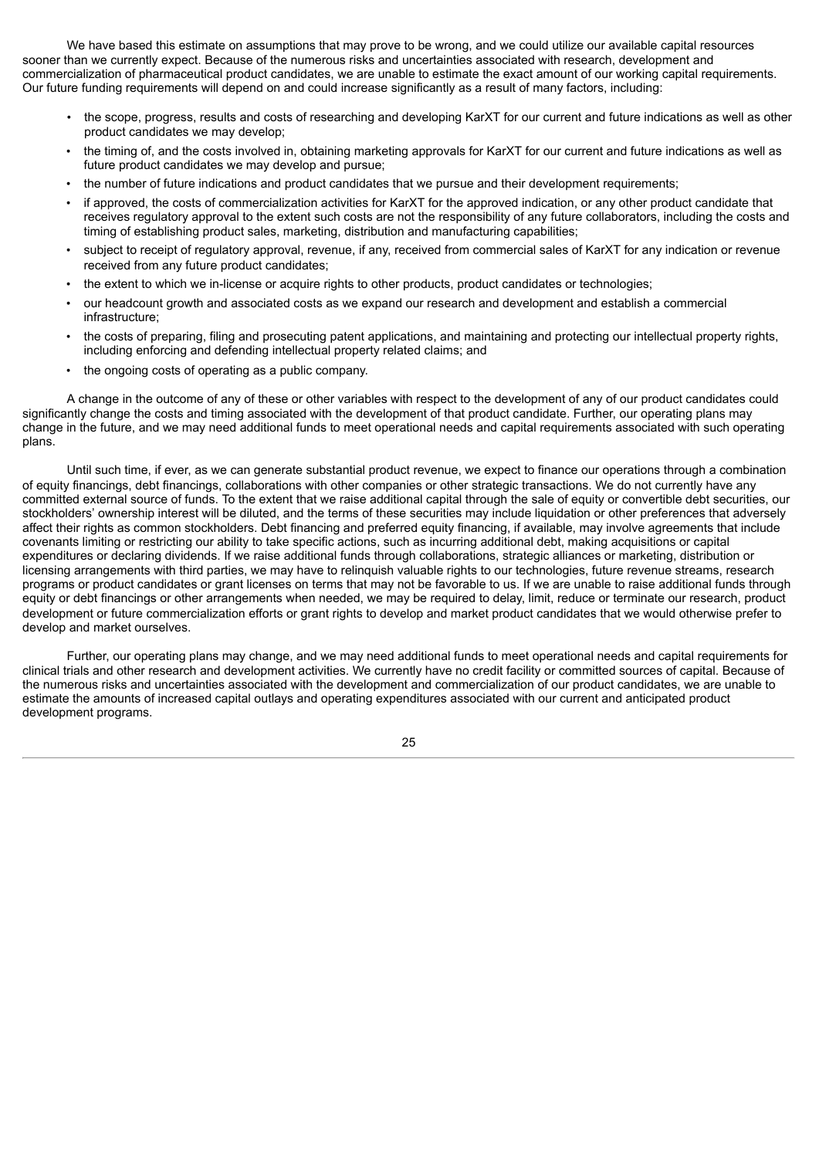We have based this estimate on assumptions that may prove to be wrong, and we could utilize our available capital resources sooner than we currently expect. Because of the numerous risks and uncertainties associated with research, development and commercialization of pharmaceutical product candidates, we are unable to estimate the exact amount of our working capital requirements. Our future funding requirements will depend on and could increase significantly as a result of many factors, including:

- the scope, progress, results and costs of researching and developing KarXT for our current and future indications as well as other product candidates we may develop;
- the timing of, and the costs involved in, obtaining marketing approvals for KarXT for our current and future indications as well as future product candidates we may develop and pursue;
- the number of future indications and product candidates that we pursue and their development requirements;
- if approved, the costs of commercialization activities for KarXT for the approved indication, or any other product candidate that receives regulatory approval to the extent such costs are not the responsibility of any future collaborators, including the costs and timing of establishing product sales, marketing, distribution and manufacturing capabilities;
- subject to receipt of regulatory approval, revenue, if any, received from commercial sales of KarXT for any indication or revenue received from any future product candidates;
- the extent to which we in-license or acquire rights to other products, product candidates or technologies;
- our headcount growth and associated costs as we expand our research and development and establish a commercial infrastructure;
- the costs of preparing, filing and prosecuting patent applications, and maintaining and protecting our intellectual property rights, including enforcing and defending intellectual property related claims; and
- the ongoing costs of operating as a public company.

A change in the outcome of any of these or other variables with respect to the development of any of our product candidates could significantly change the costs and timing associated with the development of that product candidate. Further, our operating plans may change in the future, and we may need additional funds to meet operational needs and capital requirements associated with such operating plans.

Until such time, if ever, as we can generate substantial product revenue, we expect to finance our operations through a combination of equity financings, debt financings, collaborations with other companies or other strategic transactions. We do not currently have any committed external source of funds. To the extent that we raise additional capital through the sale of equity or convertible debt securities, our stockholders' ownership interest will be diluted, and the terms of these securities may include liquidation or other preferences that adversely affect their rights as common stockholders. Debt financing and preferred equity financing, if available, may involve agreements that include covenants limiting or restricting our ability to take specific actions, such as incurring additional debt, making acquisitions or capital expenditures or declaring dividends. If we raise additional funds through collaborations, strategic alliances or marketing, distribution or licensing arrangements with third parties, we may have to relinquish valuable rights to our technologies, future revenue streams, research programs or product candidates or grant licenses on terms that may not be favorable to us. If we are unable to raise additional funds through equity or debt financings or other arrangements when needed, we may be required to delay, limit, reduce or terminate our research, product development or future commercialization efforts or grant rights to develop and market product candidates that we would otherwise prefer to develop and market ourselves.

Further, our operating plans may change, and we may need additional funds to meet operational needs and capital requirements for clinical trials and other research and development activities. We currently have no credit facility or committed sources of capital. Because of the numerous risks and uncertainties associated with the development and commercialization of our product candidates, we are unable to estimate the amounts of increased capital outlays and operating expenditures associated with our current and anticipated product development programs.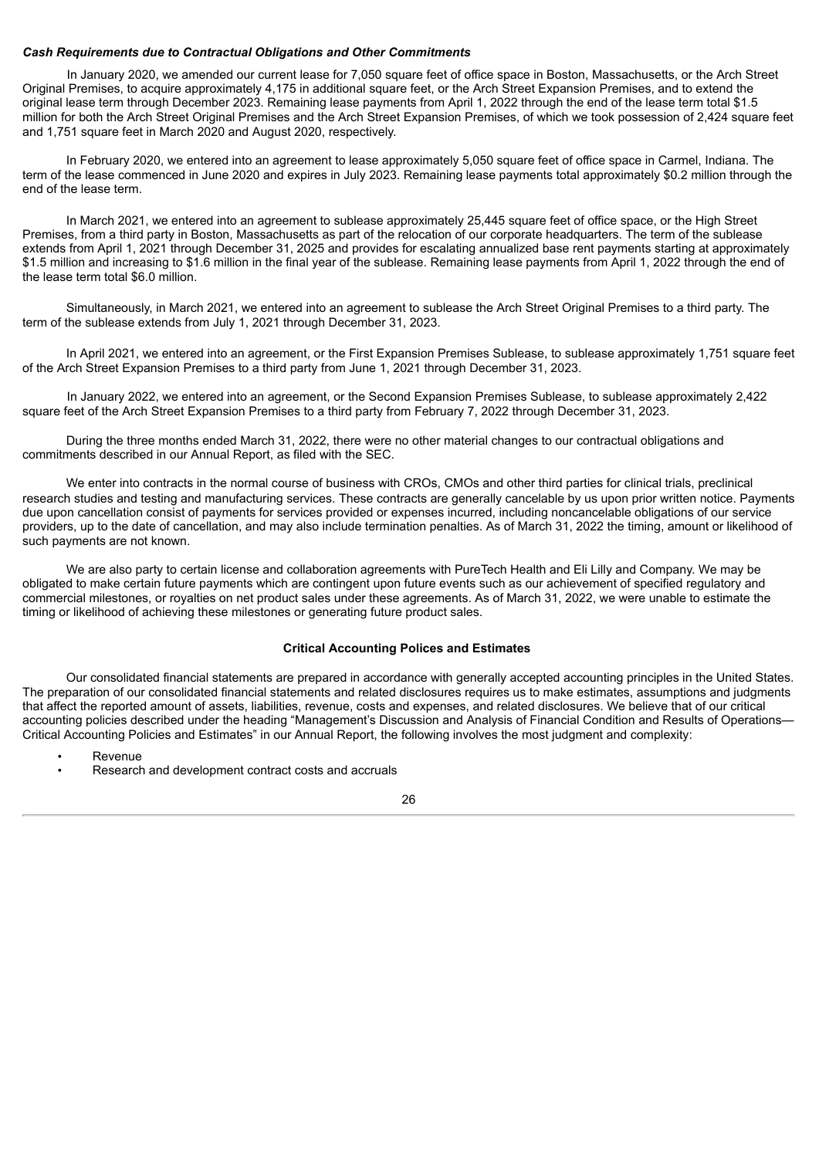#### *Cash Requirements due to Contractual Obligations and Other Commitments*

In January 2020, we amended our current lease for 7,050 square feet of office space in Boston, Massachusetts, or the Arch Street Original Premises, to acquire approximately 4,175 in additional square feet, or the Arch Street Expansion Premises, and to extend the original lease term through December 2023. Remaining lease payments from April 1, 2022 through the end of the lease term total \$1.5 million for both the Arch Street Original Premises and the Arch Street Expansion Premises, of which we took possession of 2,424 square feet and 1,751 square feet in March 2020 and August 2020, respectively.

In February 2020, we entered into an agreement to lease approximately 5,050 square feet of office space in Carmel, Indiana. The term of the lease commenced in June 2020 and expires in July 2023. Remaining lease payments total approximately \$0.2 million through the end of the lease term.

In March 2021, we entered into an agreement to sublease approximately 25.445 square feet of office space, or the High Street Premises, from a third party in Boston, Massachusetts as part of the relocation of our corporate headquarters. The term of the sublease extends from April 1, 2021 through December 31, 2025 and provides for escalating annualized base rent payments starting at approximately \$1.5 million and increasing to \$1.6 million in the final year of the sublease. Remaining lease payments from April 1, 2022 through the end of the lease term total \$6.0 million.

Simultaneously, in March 2021, we entered into an agreement to sublease the Arch Street Original Premises to a third party. The term of the sublease extends from July 1, 2021 through December 31, 2023.

In April 2021, we entered into an agreement, or the First Expansion Premises Sublease, to sublease approximately 1,751 square feet of the Arch Street Expansion Premises to a third party from June 1, 2021 through December 31, 2023.

In January 2022, we entered into an agreement, or the Second Expansion Premises Sublease, to sublease approximately 2,422 square feet of the Arch Street Expansion Premises to a third party from February 7, 2022 through December 31, 2023.

During the three months ended March 31, 2022, there were no other material changes to our contractual obligations and commitments described in our Annual Report, as filed with the SEC.

We enter into contracts in the normal course of business with CROs, CMOs and other third parties for clinical trials, preclinical research studies and testing and manufacturing services. These contracts are generally cancelable by us upon prior written notice. Payments due upon cancellation consist of payments for services provided or expenses incurred, including noncancelable obligations of our service providers, up to the date of cancellation, and may also include termination penalties. As of March 31, 2022 the timing, amount or likelihood of such payments are not known.

We are also party to certain license and collaboration agreements with PureTech Health and Eli Lilly and Company. We may be obligated to make certain future payments which are contingent upon future events such as our achievement of specified regulatory and commercial milestones, or royalties on net product sales under these agreements. As of March 31, 2022, we were unable to estimate the timing or likelihood of achieving these milestones or generating future product sales.

#### **Critical Accounting Polices and Estimates**

Our consolidated financial statements are prepared in accordance with generally accepted accounting principles in the United States. The preparation of our consolidated financial statements and related disclosures requires us to make estimates, assumptions and judgments that affect the reported amount of assets, liabilities, revenue, costs and expenses, and related disclosures. We believe that of our critical accounting policies described under the heading "Management's Discussion and Analysis of Financial Condition and Results of Operations— Critical Accounting Policies and Estimates" in our Annual Report, the following involves the most judgment and complexity:

- **Revenue**
- Research and development contract costs and accruals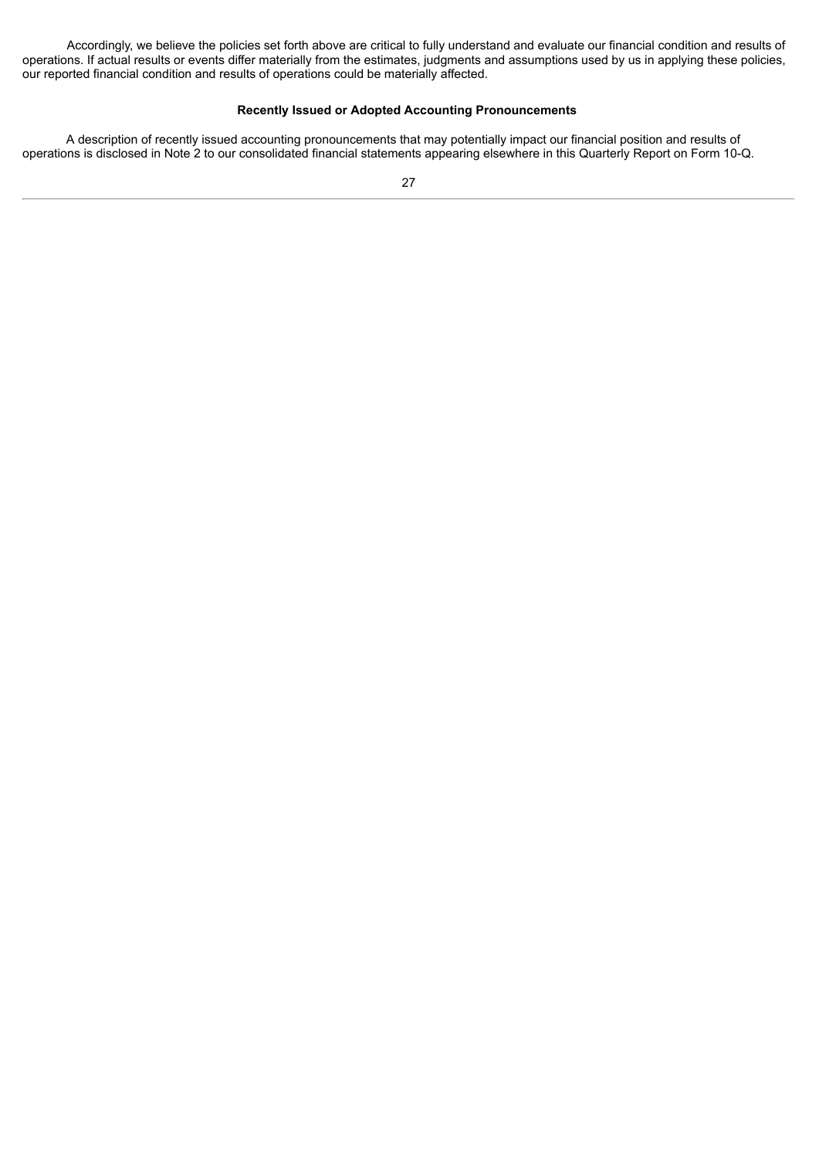Accordingly, we believe the policies set forth above are critical to fully understand and evaluate our financial condition and results of operations. If actual results or events differ materially from the estimates, judgments and assumptions used by us in applying these policies, our reported financial condition and results of operations could be materially affected.

## **Recently Issued or Adopted Accounting Pronouncements**

A description of recently issued accounting pronouncements that may potentially impact our financial position and results of operations is disclosed in Note 2 to our consolidated financial statements appearing elsewhere in this Quarterly Report on Form 10-Q.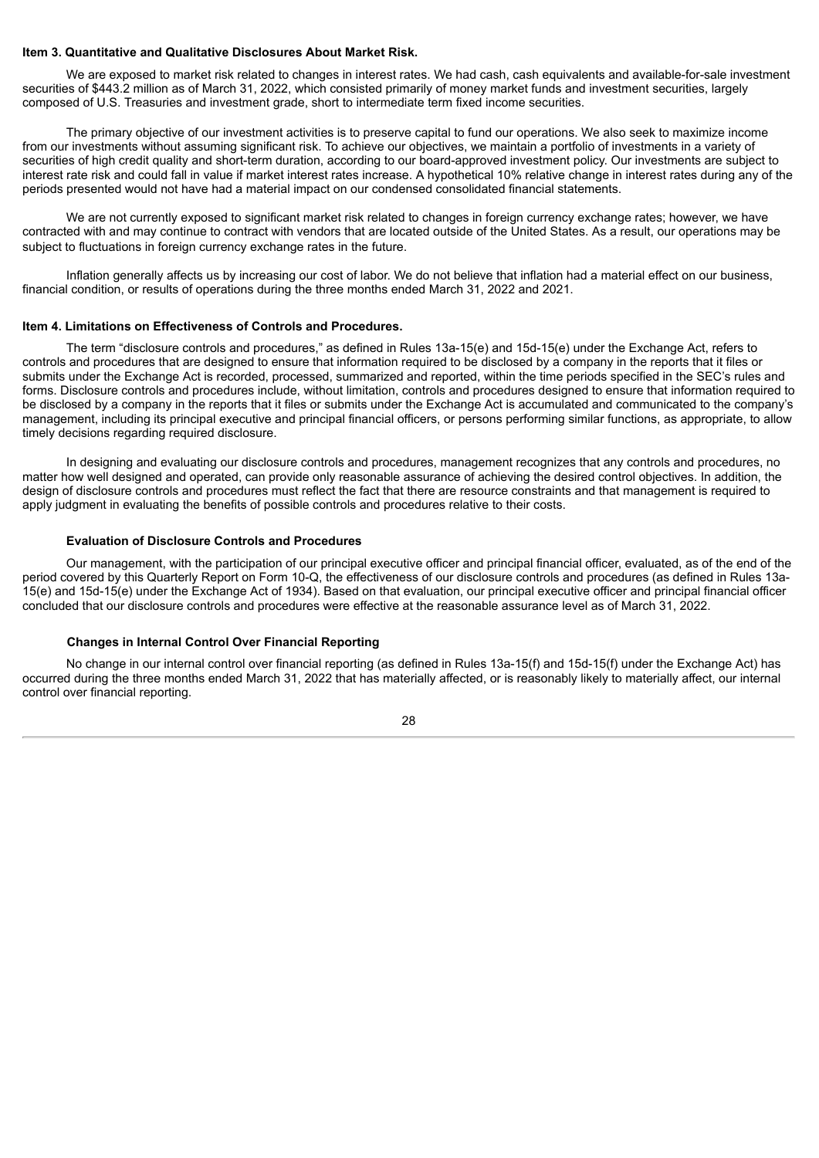## <span id="page-29-0"></span>**Item 3. Quantitative and Qualitative Disclosures About Market Risk.**

We are exposed to market risk related to changes in interest rates. We had cash, cash equivalents and available-for-sale investment securities of \$443.2 million as of March 31, 2022, which consisted primarily of money market funds and investment securities, largely composed of U.S. Treasuries and investment grade, short to intermediate term fixed income securities.

The primary objective of our investment activities is to preserve capital to fund our operations. We also seek to maximize income from our investments without assuming significant risk. To achieve our objectives, we maintain a portfolio of investments in a variety of securities of high credit quality and short-term duration, according to our board-approved investment policy. Our investments are subject to interest rate risk and could fall in value if market interest rates increase. A hypothetical 10% relative change in interest rates during any of the periods presented would not have had a material impact on our condensed consolidated financial statements.

We are not currently exposed to significant market risk related to changes in foreign currency exchange rates; however, we have contracted with and may continue to contract with vendors that are located outside of the United States. As a result, our operations may be subject to fluctuations in foreign currency exchange rates in the future.

Inflation generally affects us by increasing our cost of labor. We do not believe that inflation had a material effect on our business, financial condition, or results of operations during the three months ended March 31, 2022 and 2021.

#### <span id="page-29-1"></span>**Item 4. Limitations on Effectiveness of Controls and Procedures.**

The term "disclosure controls and procedures," as defined in Rules 13a-15(e) and 15d-15(e) under the Exchange Act, refers to controls and procedures that are designed to ensure that information required to be disclosed by a company in the reports that it files or submits under the Exchange Act is recorded, processed, summarized and reported, within the time periods specified in the SEC's rules and forms. Disclosure controls and procedures include, without limitation, controls and procedures designed to ensure that information required to be disclosed by a company in the reports that it files or submits under the Exchange Act is accumulated and communicated to the company's management, including its principal executive and principal financial officers, or persons performing similar functions, as appropriate, to allow timely decisions regarding required disclosure.

In designing and evaluating our disclosure controls and procedures, management recognizes that any controls and procedures, no matter how well designed and operated, can provide only reasonable assurance of achieving the desired control objectives. In addition, the design of disclosure controls and procedures must reflect the fact that there are resource constraints and that management is required to apply judgment in evaluating the benefits of possible controls and procedures relative to their costs.

## **Evaluation of Disclosure Controls and Procedures**

Our management, with the participation of our principal executive officer and principal financial officer, evaluated, as of the end of the period covered by this Quarterly Report on Form 10-Q, the effectiveness of our disclosure controls and procedures (as defined in Rules 13a-15(e) and 15d-15(e) under the Exchange Act of 1934). Based on that evaluation, our principal executive officer and principal financial officer concluded that our disclosure controls and procedures were effective at the reasonable assurance level as of March 31, 2022.

## **Changes in Internal Control Over Financial Reporting**

No change in our internal control over financial reporting (as defined in Rules 13a-15(f) and 15d-15(f) under the Exchange Act) has occurred during the three months ended March 31, 2022 that has materially affected, or is reasonably likely to materially affect, our internal control over financial reporting.

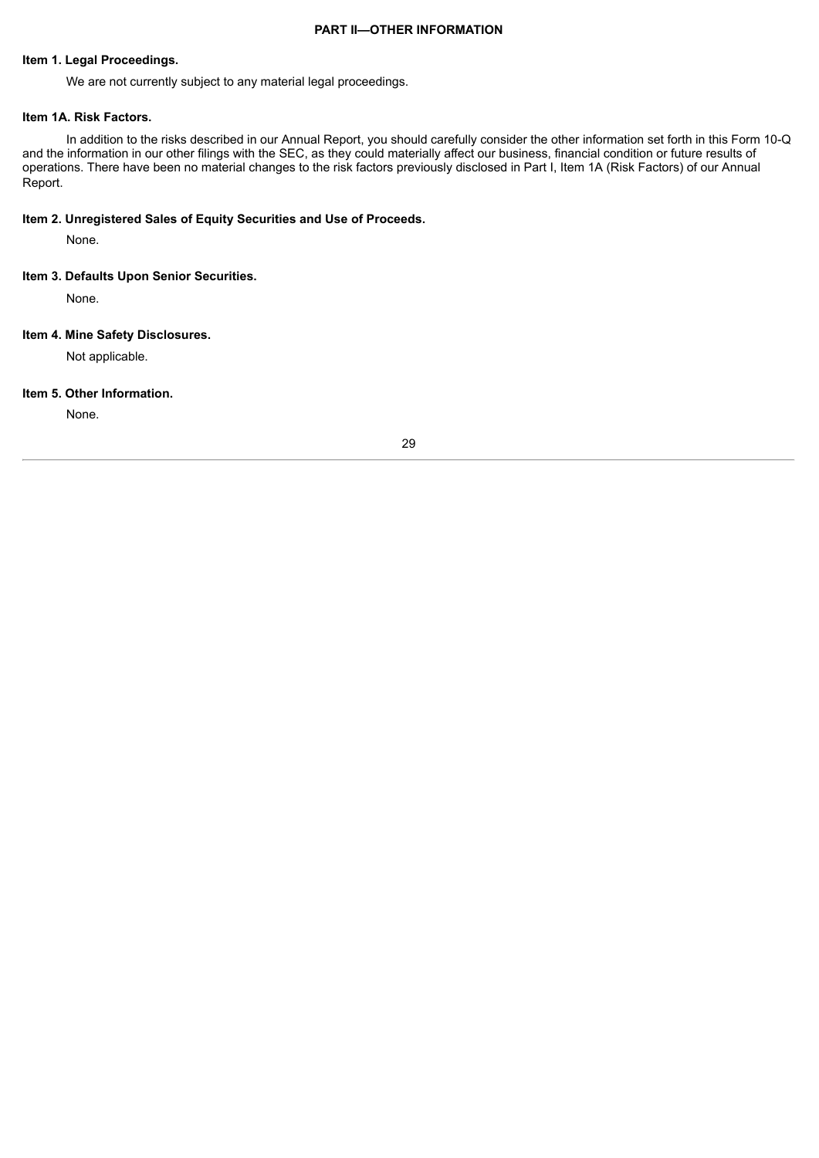#### **PART II—OTHER INFORMATION**

## <span id="page-30-1"></span><span id="page-30-0"></span>**Item 1. Legal Proceedings.**

We are not currently subject to any material legal proceedings.

### <span id="page-30-2"></span>**Item 1A. Risk Factors.**

In addition to the risks described in our Annual Report, you should carefully consider the other information set forth in this Form 10-Q and the information in our other filings with the SEC, as they could materially affect our business, financial condition or future results of operations. There have been no material changes to the risk factors previously disclosed in Part I, Item 1A (Risk Factors) of our Annual Report.

## <span id="page-30-3"></span>**Item 2. Unregistered Sales of Equity Securities and Use of Proceeds.**

None.

## <span id="page-30-4"></span>**Item 3. Defaults Upon Senior Securities.**

None.

## <span id="page-30-5"></span>**Item 4. Mine Safety Disclosures.**

Not applicable.

#### <span id="page-30-6"></span>**Item 5. Other Information.**

None.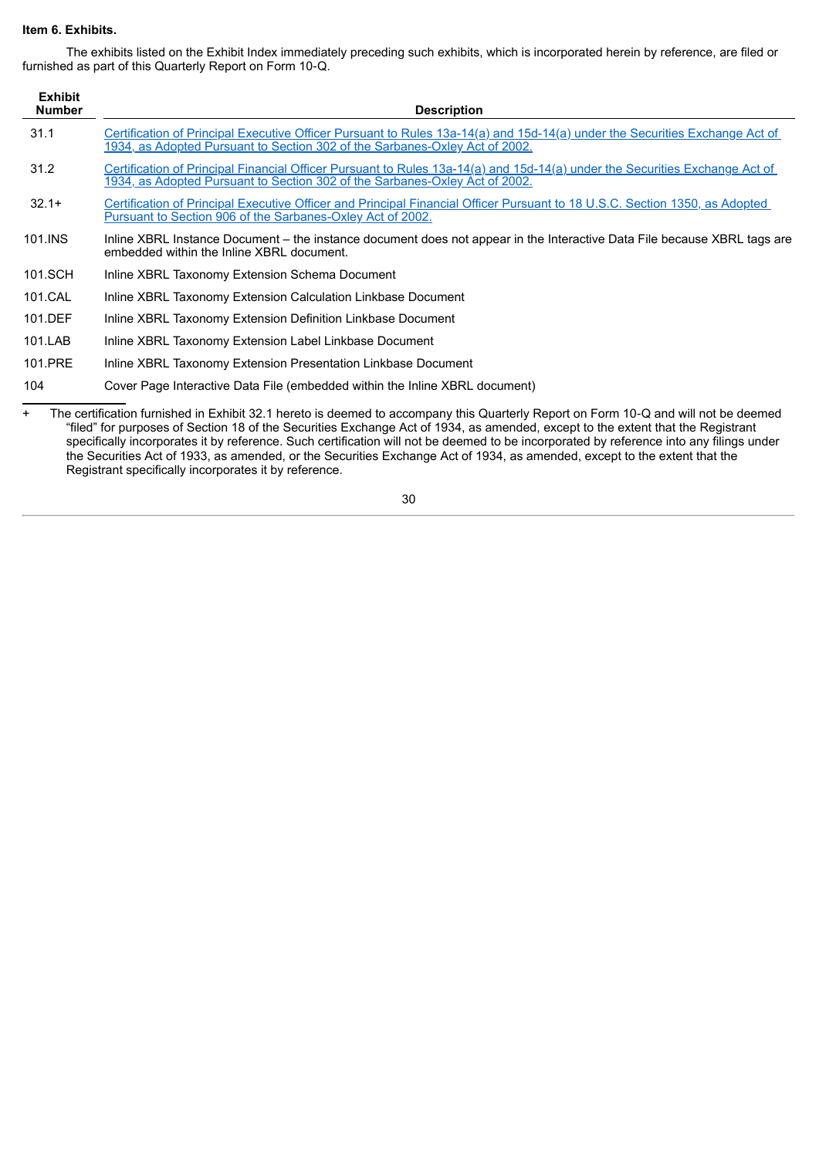## <span id="page-31-0"></span>**Item 6. Exhibits.**

The exhibits listed on the Exhibit Index immediately preceding such exhibits, which is incorporated herein by reference, are filed or furnished as part of this Quarterly Report on Form 10‑Q.

| <b>Exhibit</b><br><b>Number</b> | <b>Description</b>                                                                                                                                                                                         |
|---------------------------------|------------------------------------------------------------------------------------------------------------------------------------------------------------------------------------------------------------|
| 31.1                            | Certification of Principal Executive Officer Pursuant to Rules 13a-14(a) and 15d-14(a) under the Securities Exchange Act of<br>1934, as Adopted Pursuant to Section 302 of the Sarbanes-Oxley Act of 2002. |
| 31.2                            | Certification of Principal Financial Officer Pursuant to Rules 13a-14(a) and 15d-14(a) under the Securities Exchange Act of<br>1934, as Adopted Pursuant to Section 302 of the Sarbanes-Oxley Act of 2002. |
| $32.1+$                         | Certification of Principal Executive Officer and Principal Financial Officer Pursuant to 18 U.S.C. Section 1350, as Adopted<br>Pursuant to Section 906 of the Sarbanes-Oxley Act of 2002.                  |
| 101.INS                         | Inline XBRL Instance Document – the instance document does not appear in the Interactive Data File because XBRL tags are<br>embedded within the Inline XBRL document.                                      |
| 101.SCH                         | Inline XBRL Taxonomy Extension Schema Document                                                                                                                                                             |
| 101.CAL                         | Inline XBRL Taxonomy Extension Calculation Linkbase Document                                                                                                                                               |
| 101.DEF                         | Inline XBRL Taxonomy Extension Definition Linkbase Document                                                                                                                                                |
| 101.LAB                         | Inline XBRL Taxonomy Extension Label Linkbase Document                                                                                                                                                     |
| 101.PRE                         | Inline XBRL Taxonomy Extension Presentation Linkbase Document                                                                                                                                              |
| 104                             | Cover Page Interactive Data File (embedded within the Inline XBRL document)                                                                                                                                |
| $\ddot{}$                       | The certification furnished in Exhibit 32.1 hereto is deemed to accompany this Quarterly Report on Form 10-Q and will not be deemed                                                                        |

"filed" for purposes of Section 18 of the Securities Exchange Act of 1934, as amended, except to the extent that the Registrant specifically incorporates it by reference. Such certification will not be deemed to be incorporated by reference into any filings under the Securities Act of 1933, as amended, or the Securities Exchange Act of 1934, as amended, except to the extent that the Registrant specifically incorporates it by reference.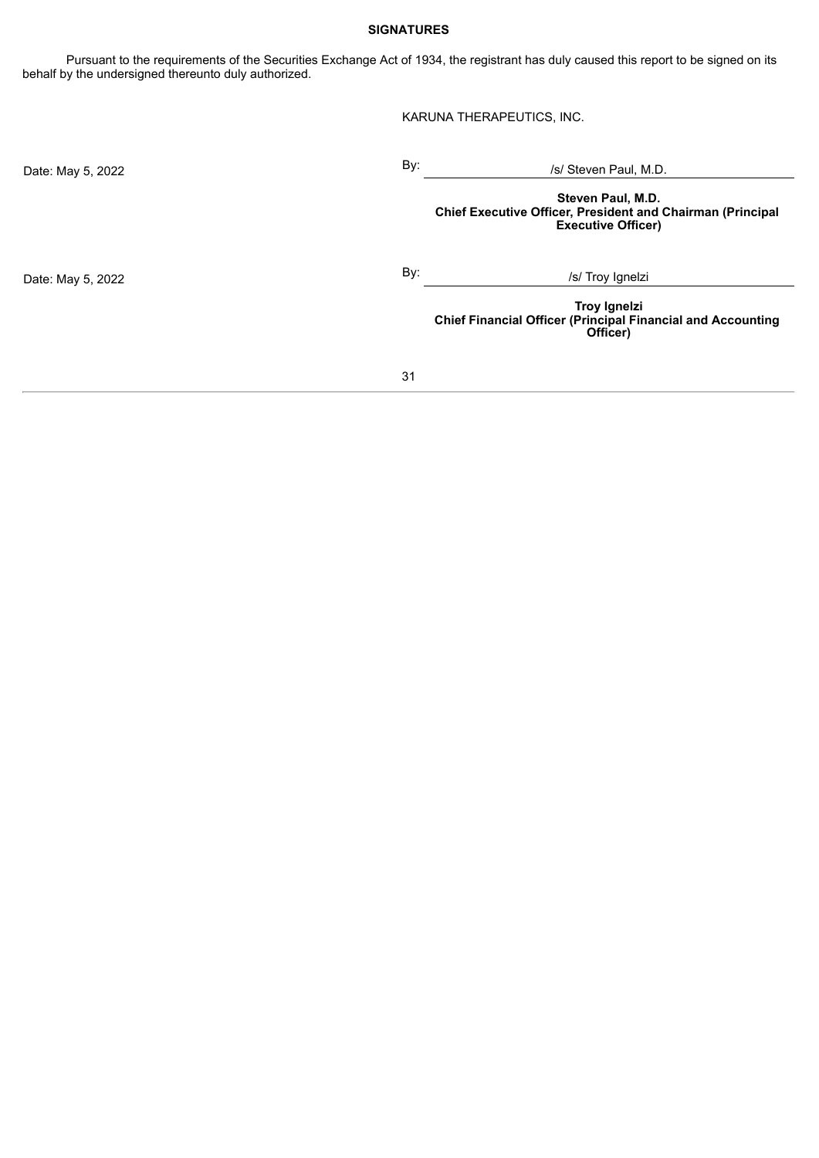## **SIGNATURES**

<span id="page-32-0"></span>Pursuant to the requirements of the Securities Exchange Act of 1934, the registrant has duly caused this report to be signed on its behalf by the undersigned thereunto duly authorized.

KARUNA THERAPEUTICS, INC.

| Date: May 5, 2022 | By: | /s/ Steven Paul, M.D.                                                                                        |
|-------------------|-----|--------------------------------------------------------------------------------------------------------------|
|                   |     | Steven Paul, M.D.<br>Chief Executive Officer, President and Chairman (Principal<br><b>Executive Officer)</b> |
| Date: May 5, 2022 | By: | /s/ Troy Ignelzi                                                                                             |
|                   |     | <b>Troy Ignelzi</b><br><b>Chief Financial Officer (Principal Financial and Accounting</b><br>Officer)        |
|                   | 31  |                                                                                                              |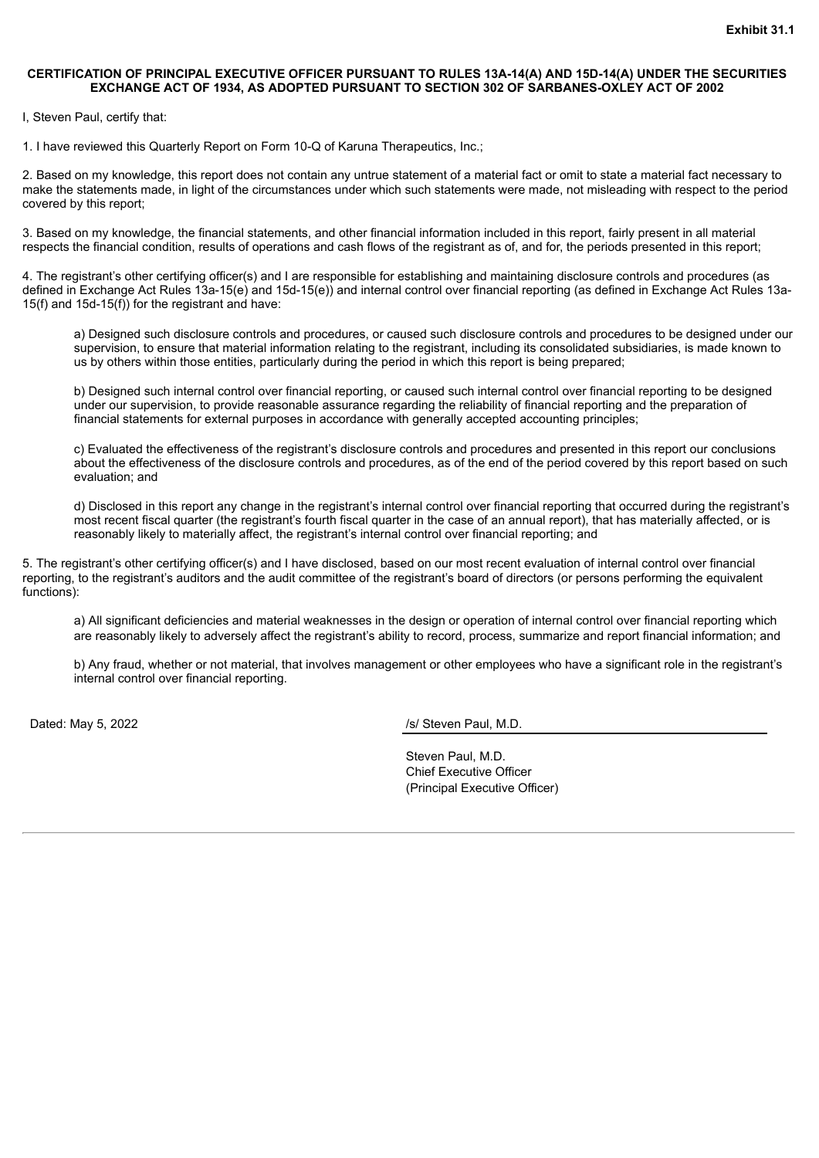#### <span id="page-33-0"></span>**CERTIFICATION OF PRINCIPAL EXECUTIVE OFFICER PURSUANT TO RULES 13A-14(A) AND 15D-14(A) UNDER THE SECURITIES EXCHANGE ACT OF 1934, AS ADOPTED PURSUANT TO SECTION 302 OF SARBANES-OXLEY ACT OF 2002**

I, Steven Paul, certify that:

1. I have reviewed this Quarterly Report on Form 10-Q of Karuna Therapeutics, Inc.;

2. Based on my knowledge, this report does not contain any untrue statement of a material fact or omit to state a material fact necessary to make the statements made, in light of the circumstances under which such statements were made, not misleading with respect to the period covered by this report;

3. Based on my knowledge, the financial statements, and other financial information included in this report, fairly present in all material respects the financial condition, results of operations and cash flows of the registrant as of, and for, the periods presented in this report;

4. The registrant's other certifying officer(s) and I are responsible for establishing and maintaining disclosure controls and procedures (as defined in Exchange Act Rules 13a-15(e) and 15d-15(e)) and internal control over financial reporting (as defined in Exchange Act Rules 13a-15(f) and 15d-15(f)) for the registrant and have:

a) Designed such disclosure controls and procedures, or caused such disclosure controls and procedures to be designed under our supervision, to ensure that material information relating to the registrant, including its consolidated subsidiaries, is made known to us by others within those entities, particularly during the period in which this report is being prepared;

b) Designed such internal control over financial reporting, or caused such internal control over financial reporting to be designed under our supervision, to provide reasonable assurance regarding the reliability of financial reporting and the preparation of financial statements for external purposes in accordance with generally accepted accounting principles;

c) Evaluated the effectiveness of the registrant's disclosure controls and procedures and presented in this report our conclusions about the effectiveness of the disclosure controls and procedures, as of the end of the period covered by this report based on such evaluation; and

d) Disclosed in this report any change in the registrant's internal control over financial reporting that occurred during the registrant's most recent fiscal quarter (the registrant's fourth fiscal quarter in the case of an annual report), that has materially affected, or is reasonably likely to materially affect, the registrant's internal control over financial reporting; and

5. The registrant's other certifying officer(s) and I have disclosed, based on our most recent evaluation of internal control over financial reporting, to the registrant's auditors and the audit committee of the registrant's board of directors (or persons performing the equivalent functions):

a) All significant deficiencies and material weaknesses in the design or operation of internal control over financial reporting which are reasonably likely to adversely affect the registrant's ability to record, process, summarize and report financial information; and

b) Any fraud, whether or not material, that involves management or other employees who have a significant role in the registrant's internal control over financial reporting.

Dated: May 5, 2022 *Dated: May 5, 2022 Islamic Lemma Compass of the May 15/ Steven Paul, M.D.* 

Steven Paul, M.D. Chief Executive Officer (Principal Executive Officer)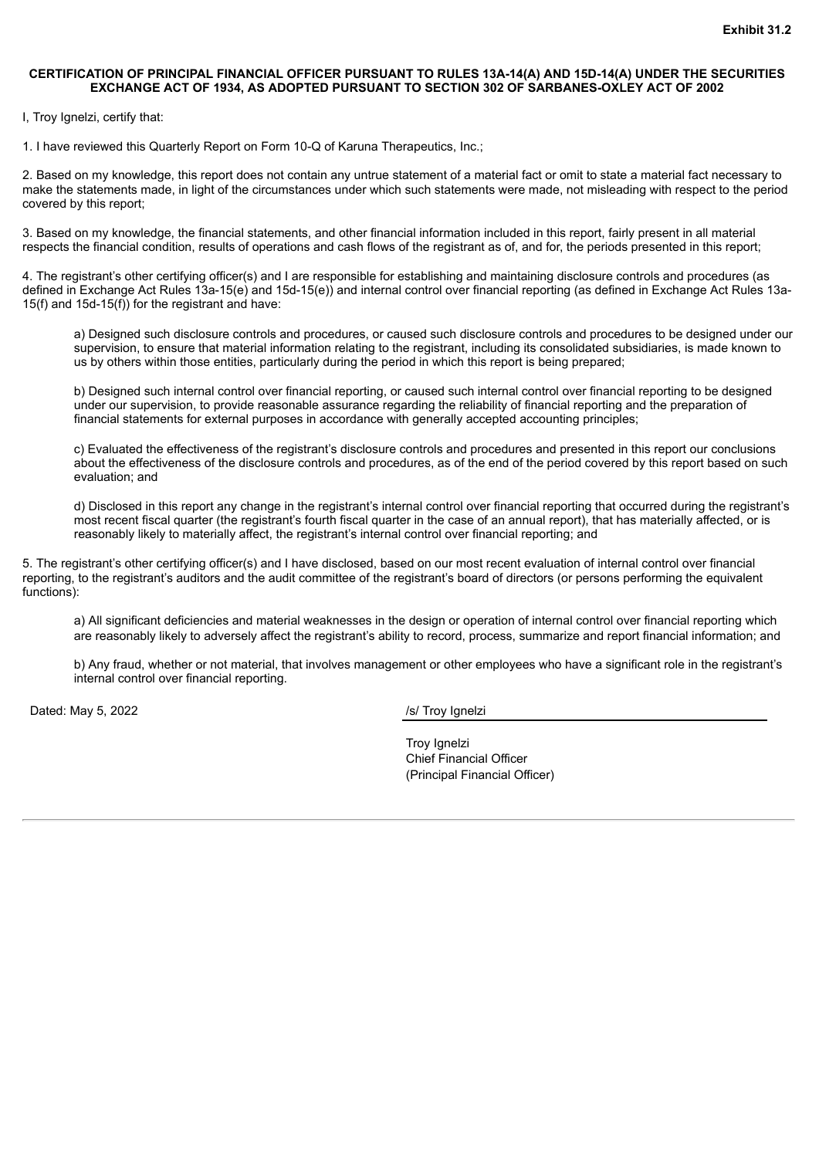#### <span id="page-35-0"></span>**CERTIFICATION OF PRINCIPAL FINANCIAL OFFICER PURSUANT TO RULES 13A-14(A) AND 15D-14(A) UNDER THE SECURITIES EXCHANGE ACT OF 1934, AS ADOPTED PURSUANT TO SECTION 302 OF SARBANES-OXLEY ACT OF 2002**

I, Troy Ignelzi, certify that:

1. I have reviewed this Quarterly Report on Form 10-Q of Karuna Therapeutics, Inc.;

2. Based on my knowledge, this report does not contain any untrue statement of a material fact or omit to state a material fact necessary to make the statements made, in light of the circumstances under which such statements were made, not misleading with respect to the period covered by this report;

3. Based on my knowledge, the financial statements, and other financial information included in this report, fairly present in all material respects the financial condition, results of operations and cash flows of the registrant as of, and for, the periods presented in this report;

4. The registrant's other certifying officer(s) and I are responsible for establishing and maintaining disclosure controls and procedures (as defined in Exchange Act Rules 13a-15(e) and 15d-15(e)) and internal control over financial reporting (as defined in Exchange Act Rules 13a-15(f) and 15d-15(f)) for the registrant and have:

a) Designed such disclosure controls and procedures, or caused such disclosure controls and procedures to be designed under our supervision, to ensure that material information relating to the registrant, including its consolidated subsidiaries, is made known to us by others within those entities, particularly during the period in which this report is being prepared;

b) Designed such internal control over financial reporting, or caused such internal control over financial reporting to be designed under our supervision, to provide reasonable assurance regarding the reliability of financial reporting and the preparation of financial statements for external purposes in accordance with generally accepted accounting principles;

c) Evaluated the effectiveness of the registrant's disclosure controls and procedures and presented in this report our conclusions about the effectiveness of the disclosure controls and procedures, as of the end of the period covered by this report based on such evaluation; and

d) Disclosed in this report any change in the registrant's internal control over financial reporting that occurred during the registrant's most recent fiscal quarter (the registrant's fourth fiscal quarter in the case of an annual report), that has materially affected, or is reasonably likely to materially affect, the registrant's internal control over financial reporting; and

5. The registrant's other certifying officer(s) and I have disclosed, based on our most recent evaluation of internal control over financial reporting, to the registrant's auditors and the audit committee of the registrant's board of directors (or persons performing the equivalent functions):

a) All significant deficiencies and material weaknesses in the design or operation of internal control over financial reporting which are reasonably likely to adversely affect the registrant's ability to record, process, summarize and report financial information; and

b) Any fraud, whether or not material, that involves management or other employees who have a significant role in the registrant's internal control over financial reporting.

Dated: May 5, 2022 */s/ Troy Ignelzi* 

Troy Ignelzi Chief Financial Officer (Principal Financial Officer)